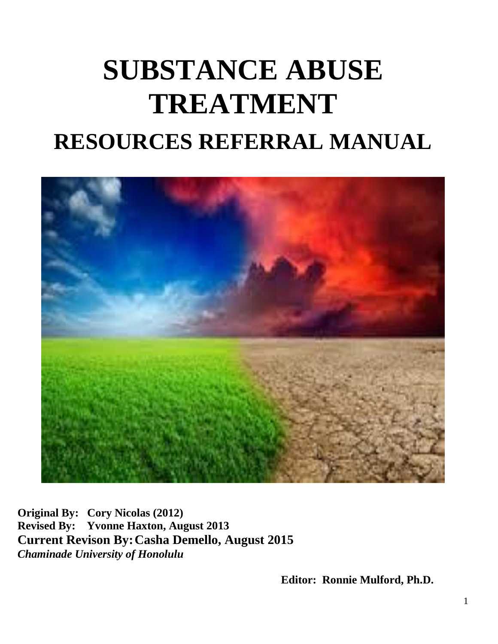# **SUBSTANCE ABUSE TREATMENT RESOURCES REFERRAL MANUAL**



**Original By: Cory Nicolas (2012) Revised By: Yvonne Haxton, August 2013 Current Revison By:Casha Demello, August 2015** *Chaminade University of Honolulu*

**Editor: Ronnie Mulford, Ph.D.**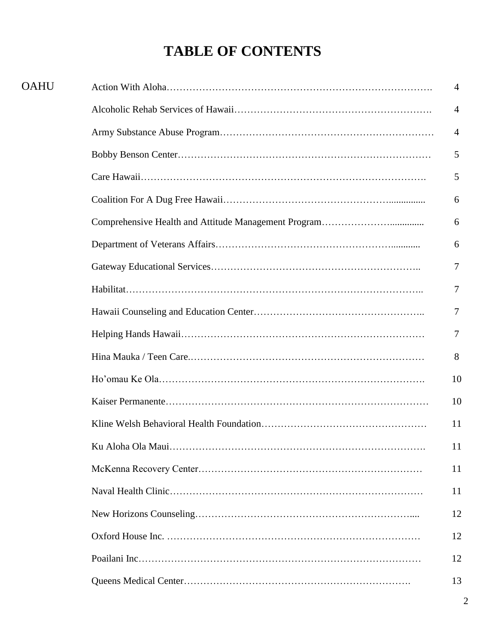# **TABLE OF CONTENTS**

| <b>OAHU</b> | $\overline{4}$ |
|-------------|----------------|
|             | $\overline{4}$ |
|             | $\overline{4}$ |
|             | 5              |
|             | 5              |
|             | 6              |
|             | 6              |
|             | 6              |
|             | 7              |
|             | $\overline{7}$ |
|             | $\overline{7}$ |
|             | 7              |
|             | 8              |
|             | 10             |
|             | 10             |
|             | 11             |
|             | 11             |
|             | 11             |
|             | 11             |
|             | 12             |
|             | 12             |
|             | 12             |
|             | 13             |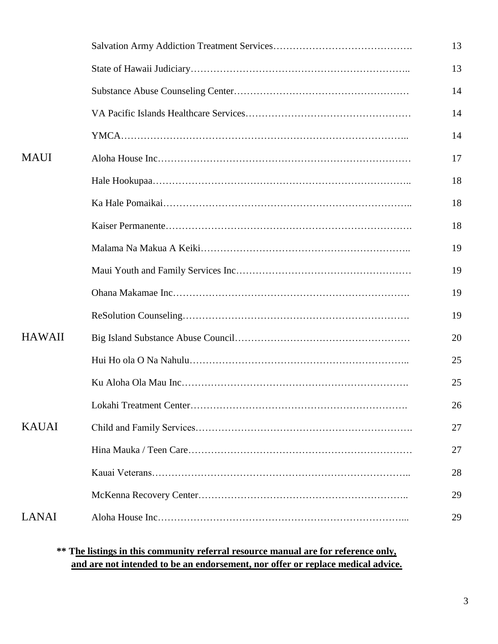|               | 13 |
|---------------|----|
|               | 13 |
|               | 14 |
|               | 14 |
|               | 14 |
| <b>MAUI</b>   | 17 |
|               | 18 |
|               | 18 |
|               | 18 |
|               | 19 |
|               | 19 |
|               | 19 |
|               | 19 |
| <b>HAWAII</b> | 20 |
|               | 25 |
|               | 25 |
|               | 26 |
| <b>KAUAI</b>  | 27 |
|               | 27 |
|               | 28 |
|               | 29 |
| <b>LANAI</b>  | 29 |
|               |    |

#### **\*\* The listings in this community referral resource manual are for reference only, and are not intended to be an endorsement, nor offer or replace medical advice.**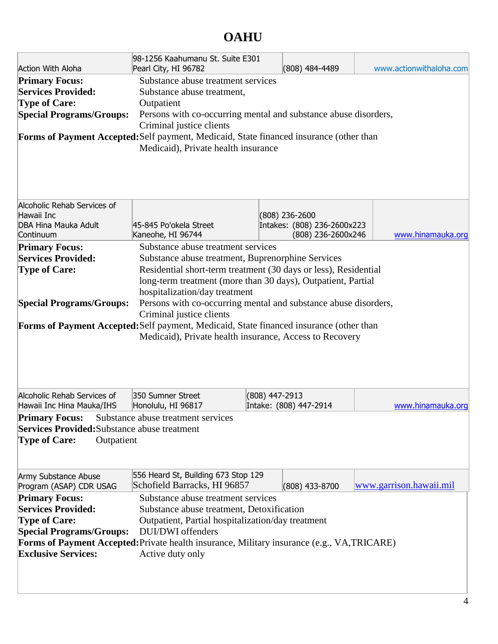### **OAHU**

| Pearl City, HI 96782                                                                                                                                                                                                                                                                                                                                                                                                                                                                                                                                                                                                                                                                                          |                                                                                                          |                                  |                                                                                                                   |  |  |  |  |
|---------------------------------------------------------------------------------------------------------------------------------------------------------------------------------------------------------------------------------------------------------------------------------------------------------------------------------------------------------------------------------------------------------------------------------------------------------------------------------------------------------------------------------------------------------------------------------------------------------------------------------------------------------------------------------------------------------------|----------------------------------------------------------------------------------------------------------|----------------------------------|-------------------------------------------------------------------------------------------------------------------|--|--|--|--|
| www.actionwithaloha.com<br><b>Action With Aloha</b><br>(808) 484-4489<br>Substance abuse treatment services<br><b>Primary Focus:</b><br><b>Services Provided:</b><br>Substance abuse treatment,<br><b>Type of Care:</b><br>Outpatient<br><b>Special Programs/Groups:</b><br>Persons with co-occurring mental and substance abuse disorders,<br>Criminal justice clients<br>Forms of Payment Accepted: Self payment, Medicaid, State financed insurance (other than<br>Medicaid), Private health insurance<br>Alcoholic Rehab Services of                                                                                                                                                                      |                                                                                                          |                                  |                                                                                                                   |  |  |  |  |
|                                                                                                                                                                                                                                                                                                                                                                                                                                                                                                                                                                                                                                                                                                               |                                                                                                          |                                  |                                                                                                                   |  |  |  |  |
|                                                                                                                                                                                                                                                                                                                                                                                                                                                                                                                                                                                                                                                                                                               |                                                                                                          |                                  |                                                                                                                   |  |  |  |  |
| Kaneohe, HI 96744                                                                                                                                                                                                                                                                                                                                                                                                                                                                                                                                                                                                                                                                                             |                                                                                                          |                                  | www.hinamauka.org                                                                                                 |  |  |  |  |
| <b>Primary Focus:</b><br>Substance abuse treatment services<br><b>Services Provided:</b><br>Substance abuse treatment, Buprenorphine Services<br>Residential short-term treatment (30 days or less), Residential<br><b>Type of Care:</b><br>long-term treatment (more than 30 days), Outpatient, Partial<br>hospitalization/day treatment<br><b>Special Programs/Groups:</b><br>Persons with co-occurring mental and substance abuse disorders,<br>Criminal justice clients<br>Forms of Payment Accepted: Self payment, Medicaid, State financed insurance (other than<br>Medicaid), Private health insurance, Access to Recovery                                                                             |                                                                                                          |                                  |                                                                                                                   |  |  |  |  |
| 350 Sumner Street                                                                                                                                                                                                                                                                                                                                                                                                                                                                                                                                                                                                                                                                                             |                                                                                                          |                                  |                                                                                                                   |  |  |  |  |
|                                                                                                                                                                                                                                                                                                                                                                                                                                                                                                                                                                                                                                                                                                               |                                                                                                          |                                  | www.hinamauka.org                                                                                                 |  |  |  |  |
| <b>Services Provided:</b> Substance abuse treatment<br><b>Type of Care:</b><br>Outpatient<br>556 Heard St, Building 673 Stop 129<br>Army Substance Abuse<br>Schofield Barracks, HI 96857<br>www.garrison.hawaii.mil<br>(808) 433-8700<br>Program (ASAP) CDR USAG<br>Substance abuse treatment services<br><b>Primary Focus:</b><br><b>Services Provided:</b><br>Substance abuse treatment, Detoxification<br><b>Type of Care:</b><br>Outpatient, Partial hospitalization/day treatment<br><b>Special Programs/Groups:</b><br><b>DUI/DWI</b> offenders<br><b>Forms of Payment Accepted:</b> Private health insurance, Military insurance (e.g., VA, TRICARE)<br><b>Exclusive Services:</b><br>Active duty only |                                                                                                          |                                  |                                                                                                                   |  |  |  |  |
|                                                                                                                                                                                                                                                                                                                                                                                                                                                                                                                                                                                                                                                                                                               | 45-845 Po'okela Street<br>Honolulu, HI 96817<br><b>Primary Focus:</b> Substance abuse treatment services | 98-1256 Kaahumanu St. Suite E301 | $(808)$ 236-2600<br>Intakes: (808) 236-2600x223<br>(808) 236-2600x246<br>(808) 447-2913<br>Intake: (808) 447-2914 |  |  |  |  |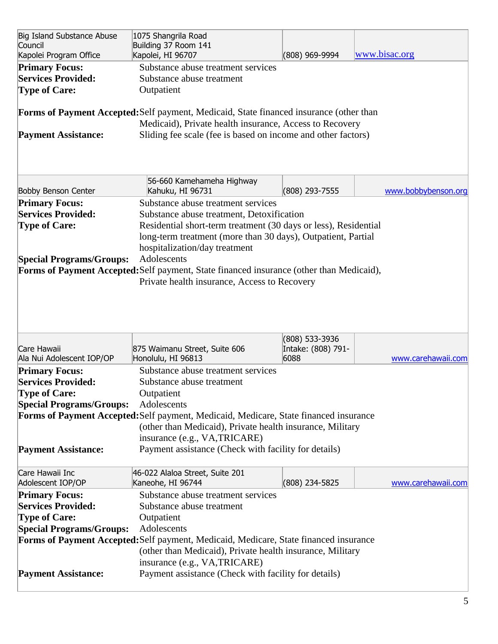| Big Island Substance Abuse<br>Council<br>Kapolei Program Office            | 1075 Shangrila Road<br>Building 37 Room 141<br>Kapolei, HI 96707                                                                                   | (808) 969-9994                       | www.bisac.org       |
|----------------------------------------------------------------------------|----------------------------------------------------------------------------------------------------------------------------------------------------|--------------------------------------|---------------------|
| <b>Primary Focus:</b><br><b>Services Provided:</b><br><b>Type of Care:</b> | Substance abuse treatment services<br>Substance abuse treatment<br>Outpatient                                                                      |                                      |                     |
|                                                                            | Forms of Payment Accepted: Self payment, Medicaid, State financed insurance (other than<br>Medicaid), Private health insurance, Access to Recovery |                                      |                     |
| <b>Payment Assistance:</b>                                                 | Sliding fee scale (fee is based on income and other factors)                                                                                       |                                      |                     |
|                                                                            |                                                                                                                                                    |                                      |                     |
| <b>Bobby Benson Center</b>                                                 | 56-660 Kamehameha Highway<br>Kahuku, HI 96731                                                                                                      | (808) 293-7555                       | www.bobbybenson.org |
| <b>Primary Focus:</b>                                                      | Substance abuse treatment services                                                                                                                 |                                      |                     |
| <b>Services Provided:</b>                                                  | Substance abuse treatment, Detoxification                                                                                                          |                                      |                     |
| <b>Type of Care:</b>                                                       | Residential short-term treatment (30 days or less), Residential                                                                                    |                                      |                     |
|                                                                            | long-term treatment (more than 30 days), Outpatient, Partial                                                                                       |                                      |                     |
|                                                                            | hospitalization/day treatment                                                                                                                      |                                      |                     |
| <b>Special Programs/Groups:</b>                                            | Adolescents                                                                                                                                        |                                      |                     |
|                                                                            | Forms of Payment Accepted: Self payment, State financed insurance (other than Medicaid),                                                           |                                      |                     |
|                                                                            | Private health insurance, Access to Recovery                                                                                                       |                                      |                     |
|                                                                            |                                                                                                                                                    |                                      |                     |
|                                                                            |                                                                                                                                                    |                                      |                     |
|                                                                            |                                                                                                                                                    |                                      |                     |
| Care Hawaii                                                                | 875 Waimanu Street, Suite 606                                                                                                                      | (808) 533-3936<br>Intake: (808) 791- |                     |
| Ala Nui Adolescent IOP/OP                                                  | Honolulu, HI 96813                                                                                                                                 | 6088                                 | www.carehawaii.com  |
| <b>Primary Focus:</b>                                                      | Substance abuse treatment services                                                                                                                 |                                      |                     |
| <b>Services Provided:</b>                                                  | Substance abuse treatment                                                                                                                          |                                      |                     |
| <b>Type of Care:</b>                                                       | Outpatient                                                                                                                                         |                                      |                     |
| <b>Special Programs/Groups:</b>                                            | Adolescents                                                                                                                                        |                                      |                     |
|                                                                            | Forms of Payment Accepted: Self payment, Medicaid, Medicare, State financed insurance                                                              |                                      |                     |
|                                                                            | (other than Medicaid), Private health insurance, Military                                                                                          |                                      |                     |
|                                                                            | insurance (e.g., VA, TRICARE)                                                                                                                      |                                      |                     |
| <b>Payment Assistance:</b>                                                 | Payment assistance (Check with facility for details)                                                                                               |                                      |                     |
|                                                                            |                                                                                                                                                    |                                      |                     |
| Care Hawaii Inc                                                            | 46-022 Alaloa Street, Suite 201                                                                                                                    |                                      |                     |
| Adolescent IOP/OP                                                          | Kaneohe, HI 96744                                                                                                                                  | (808) 234-5825                       | www.carehawaii.com  |
| <b>Primary Focus:</b>                                                      | Substance abuse treatment services                                                                                                                 |                                      |                     |
| <b>Services Provided:</b>                                                  | Substance abuse treatment                                                                                                                          |                                      |                     |
| <b>Type of Care:</b>                                                       | Outpatient                                                                                                                                         |                                      |                     |
| <b>Special Programs/Groups:</b>                                            | Adolescents                                                                                                                                        |                                      |                     |
|                                                                            | Forms of Payment Accepted: Self payment, Medicaid, Medicare, State financed insurance                                                              |                                      |                     |
|                                                                            | (other than Medicaid), Private health insurance, Military                                                                                          |                                      |                     |
|                                                                            | insurance (e.g., VA, TRICARE)                                                                                                                      |                                      |                     |
| <b>Payment Assistance:</b>                                                 | Payment assistance (Check with facility for details)                                                                                               |                                      |                     |
|                                                                            |                                                                                                                                                    |                                      |                     |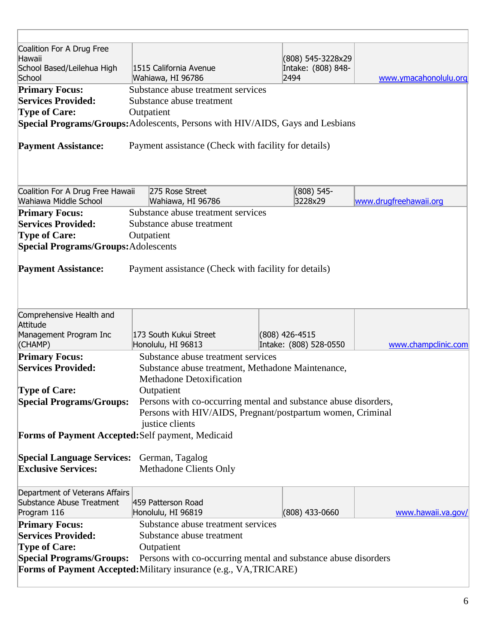| Coalition For A Drug Free                                                                         |                                                                                |                            |  |                        |
|---------------------------------------------------------------------------------------------------|--------------------------------------------------------------------------------|----------------------------|--|------------------------|
| Hawaii                                                                                            |                                                                                | (808) 545-3228x29          |  |                        |
| School Based/Leilehua High<br>School                                                              | 1515 California Avenue<br>Wahiawa, HI 96786                                    | Intake: (808) 848-<br>2494 |  | www.ymacahonolulu.org  |
| <b>Primary Focus:</b>                                                                             | Substance abuse treatment services                                             |                            |  |                        |
| <b>Services Provided:</b>                                                                         | Substance abuse treatment                                                      |                            |  |                        |
| <b>Type of Care:</b>                                                                              | Outpatient                                                                     |                            |  |                        |
|                                                                                                   | Special Programs/Groups: Adolescents, Persons with HIV/AIDS, Gays and Lesbians |                            |  |                        |
|                                                                                                   |                                                                                |                            |  |                        |
| <b>Payment Assistance:</b>                                                                        | Payment assistance (Check with facility for details)                           |                            |  |                        |
|                                                                                                   |                                                                                |                            |  |                        |
|                                                                                                   |                                                                                |                            |  |                        |
|                                                                                                   |                                                                                |                            |  |                        |
| Coalition For A Drug Free Hawaii                                                                  | 275 Rose Street                                                                | $(808) 545 -$              |  |                        |
| Wahiawa Middle School                                                                             | Wahiawa, HI 96786                                                              | 3228x29                    |  | www.drugfreehawaii.org |
| <b>Primary Focus:</b>                                                                             | Substance abuse treatment services                                             |                            |  |                        |
| <b>Services Provided:</b>                                                                         | Substance abuse treatment                                                      |                            |  |                        |
| <b>Type of Care:</b>                                                                              | Outpatient                                                                     |                            |  |                        |
| <b>Special Programs/Groups: Adolescents</b>                                                       |                                                                                |                            |  |                        |
|                                                                                                   |                                                                                |                            |  |                        |
| <b>Payment Assistance:</b>                                                                        | Payment assistance (Check with facility for details)                           |                            |  |                        |
|                                                                                                   |                                                                                |                            |  |                        |
|                                                                                                   |                                                                                |                            |  |                        |
| Comprehensive Health and                                                                          |                                                                                |                            |  |                        |
| Attitude                                                                                          |                                                                                |                            |  |                        |
| Management Program Inc                                                                            | 173 South Kukui Street                                                         | (808) 426-4515             |  |                        |
| (CHAMP)                                                                                           | Honolulu, HI 96813                                                             | Intake: (808) 528-0550     |  | www.champclinic.com    |
| <b>Primary Focus:</b>                                                                             | Substance abuse treatment services                                             |                            |  |                        |
| <b>Services Provided:</b>                                                                         | Substance abuse treatment, Methadone Maintenance,                              |                            |  |                        |
|                                                                                                   | <b>Methadone Detoxification</b>                                                |                            |  |                        |
| <b>Type of Care:</b>                                                                              | Outpatient                                                                     |                            |  |                        |
| <b>Special Programs/Groups:</b>                                                                   | Persons with co-occurring mental and substance abuse disorders,                |                            |  |                        |
|                                                                                                   | Persons with HIV/AIDS, Pregnant/postpartum women, Criminal                     |                            |  |                        |
|                                                                                                   | justice clients                                                                |                            |  |                        |
| Forms of Payment Accepted: Self payment, Medicaid                                                 |                                                                                |                            |  |                        |
|                                                                                                   |                                                                                |                            |  |                        |
| <b>Special Language Services:</b>                                                                 | German, Tagalog                                                                |                            |  |                        |
| <b>Exclusive Services:</b>                                                                        | Methadone Clients Only                                                         |                            |  |                        |
|                                                                                                   |                                                                                |                            |  |                        |
| Department of Veterans Affairs                                                                    |                                                                                |                            |  |                        |
| Substance Abuse Treatment                                                                         | 459 Patterson Road                                                             |                            |  |                        |
| Program 116                                                                                       | Honolulu, HI 96819                                                             | $(808)$ 433-0660           |  | www.hawaii.va.gov/     |
| <b>Primary Focus:</b>                                                                             | Substance abuse treatment services                                             |                            |  |                        |
| <b>Services Provided:</b>                                                                         | Substance abuse treatment                                                      |                            |  |                        |
| <b>Type of Care:</b>                                                                              | Outpatient                                                                     |                            |  |                        |
| <b>Special Programs/Groups:</b><br>Persons with co-occurring mental and substance abuse disorders |                                                                                |                            |  |                        |
|                                                                                                   | Forms of Payment Accepted: Military insurance (e.g., VA, TRICARE)              |                            |  |                        |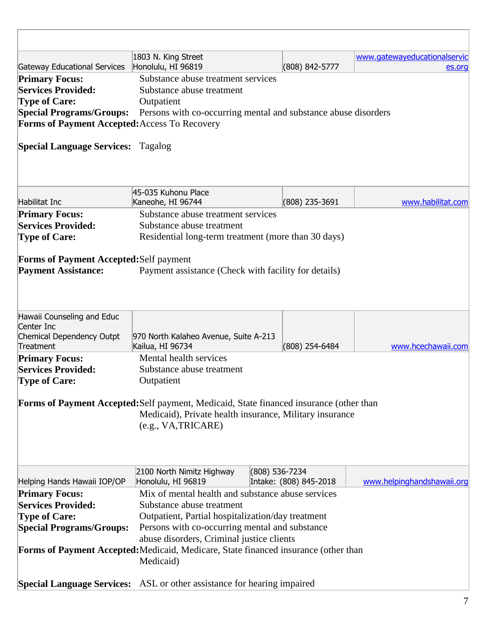|                                                                              | 1803 N. King Street                                                                                                                                                       |                  |                        | www.gatewayeducationalservic |  |
|------------------------------------------------------------------------------|---------------------------------------------------------------------------------------------------------------------------------------------------------------------------|------------------|------------------------|------------------------------|--|
| <b>Gateway Educational Services</b>                                          | Honolulu, HI 96819                                                                                                                                                        |                  | (808) 842-5777         | es.org                       |  |
| <b>Primary Focus:</b>                                                        | Substance abuse treatment services                                                                                                                                        |                  |                        |                              |  |
| <b>Services Provided:</b>                                                    | Substance abuse treatment                                                                                                                                                 |                  |                        |                              |  |
| <b>Type of Care:</b>                                                         | Outpatient                                                                                                                                                                |                  |                        |                              |  |
| <b>Special Programs/Groups:</b>                                              | Persons with co-occurring mental and substance abuse disorders                                                                                                            |                  |                        |                              |  |
| Forms of Payment Accepted: Access To Recovery                                |                                                                                                                                                                           |                  |                        |                              |  |
| <b>Special Language Services: Tagalog</b>                                    |                                                                                                                                                                           |                  |                        |                              |  |
|                                                                              | 45-035 Kuhonu Place                                                                                                                                                       |                  |                        |                              |  |
| <b>Habilitat Inc</b>                                                         | Kaneohe, HI 96744                                                                                                                                                         |                  | (808) 235-3691         | www.habilitat.com            |  |
| <b>Primary Focus:</b>                                                        | Substance abuse treatment services                                                                                                                                        |                  |                        |                              |  |
| <b>Services Provided:</b>                                                    | Substance abuse treatment                                                                                                                                                 |                  |                        |                              |  |
| <b>Type of Care:</b>                                                         | Residential long-term treatment (more than 30 days)                                                                                                                       |                  |                        |                              |  |
| <b>Forms of Payment Accepted: Self payment</b><br><b>Payment Assistance:</b> | Payment assistance (Check with facility for details)                                                                                                                      |                  |                        |                              |  |
| Hawaii Counseling and Educ                                                   |                                                                                                                                                                           |                  |                        |                              |  |
| Center Inc                                                                   |                                                                                                                                                                           |                  |                        |                              |  |
| Chemical Dependency Outpt<br>Treatment                                       | 970 North Kalaheo Avenue, Suite A-213<br>Kailua, HI 96734                                                                                                                 |                  | (808) 254-6484         | www.hcechawaii.com           |  |
| <b>Primary Focus:</b>                                                        | Mental health services                                                                                                                                                    |                  |                        |                              |  |
| <b>Services Provided:</b>                                                    | Substance abuse treatment                                                                                                                                                 |                  |                        |                              |  |
| <b>Type of Care:</b>                                                         | Outpatient                                                                                                                                                                |                  |                        |                              |  |
|                                                                              |                                                                                                                                                                           |                  |                        |                              |  |
|                                                                              | Forms of Payment Accepted: Self payment, Medicaid, State financed insurance (other than<br>Medicaid), Private health insurance, Military insurance<br>(e.g., VA, TRICARE) |                  |                        |                              |  |
|                                                                              | 2100 North Nimitz Highway                                                                                                                                                 | $(808)$ 536-7234 |                        |                              |  |
| Helping Hands Hawaii IOP/OP                                                  | Honolulu, HI 96819                                                                                                                                                        |                  | Intake: (808) 845-2018 | www.helpinghandshawaii.org   |  |
| <b>Primary Focus:</b>                                                        | Mix of mental health and substance abuse services                                                                                                                         |                  |                        |                              |  |
| <b>Services Provided:</b>                                                    | Substance abuse treatment                                                                                                                                                 |                  |                        |                              |  |
| <b>Type of Care:</b>                                                         | Outpatient, Partial hospitalization/day treatment                                                                                                                         |                  |                        |                              |  |
| <b>Special Programs/Groups:</b>                                              | Persons with co-occurring mental and substance                                                                                                                            |                  |                        |                              |  |
| abuse disorders, Criminal justice clients                                    |                                                                                                                                                                           |                  |                        |                              |  |
|                                                                              | Forms of Payment Accepted: Medicaid, Medicare, State financed insurance (other than<br>Medicaid)                                                                          |                  |                        |                              |  |
|                                                                              | <b>Special Language Services:</b> ASL or other assistance for hearing impaired                                                                                            |                  |                        |                              |  |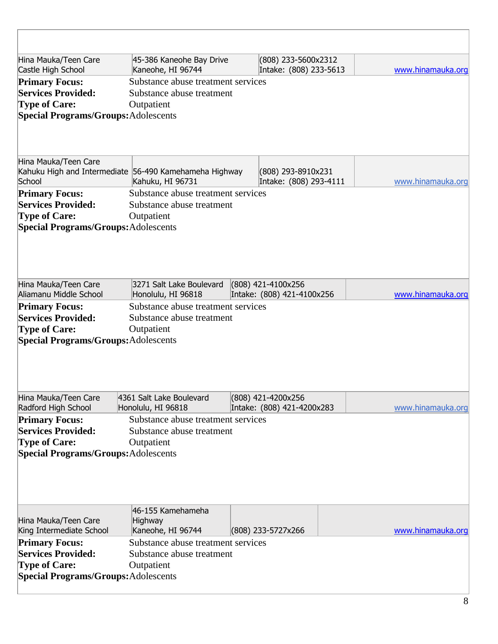| Hina Mauka/Teen Care                                   | 45-386 Kaneohe Bay Drive           |  | (808) 233-5600x2312        |  |  |                   |
|--------------------------------------------------------|------------------------------------|--|----------------------------|--|--|-------------------|
| Castle High School                                     | Kaneohe, HI 96744                  |  | Intake: (808) 233-5613     |  |  | www.hinamauka.org |
| <b>Primary Focus:</b>                                  | Substance abuse treatment services |  |                            |  |  |                   |
| <b>Services Provided:</b>                              | Substance abuse treatment          |  |                            |  |  |                   |
| <b>Type of Care:</b>                                   | Outpatient                         |  |                            |  |  |                   |
| <b>Special Programs/Groups: Adolescents</b>            |                                    |  |                            |  |  |                   |
|                                                        |                                    |  |                            |  |  |                   |
|                                                        |                                    |  |                            |  |  |                   |
| Hina Mauka/Teen Care                                   |                                    |  |                            |  |  |                   |
| Kahuku High and Intermediate 56-490 Kamehameha Highway |                                    |  | (808) 293-8910x231         |  |  |                   |
| School                                                 | Kahuku, HI 96731                   |  | Intake: (808) 293-4111     |  |  | www.hinamauka.org |
| <b>Primary Focus:</b>                                  | Substance abuse treatment services |  |                            |  |  |                   |
| <b>Services Provided:</b>                              | Substance abuse treatment          |  |                            |  |  |                   |
| <b>Type of Care:</b>                                   | Outpatient                         |  |                            |  |  |                   |
| <b>Special Programs/Groups: Adolescents</b>            |                                    |  |                            |  |  |                   |
|                                                        |                                    |  |                            |  |  |                   |
|                                                        |                                    |  |                            |  |  |                   |
|                                                        |                                    |  |                            |  |  |                   |
|                                                        |                                    |  |                            |  |  |                   |
| Hina Mauka/Teen Care                                   | 3271 Salt Lake Boulevard           |  | (808) 421-4100x256         |  |  |                   |
| Aliamanu Middle School                                 | Honolulu, HI 96818                 |  | Intake: (808) 421-4100x256 |  |  | www.hinamauka.org |
| <b>Primary Focus:</b>                                  | Substance abuse treatment services |  |                            |  |  |                   |
| <b>Services Provided:</b>                              | Substance abuse treatment          |  |                            |  |  |                   |
| <b>Type of Care:</b>                                   | Outpatient                         |  |                            |  |  |                   |
| <b>Special Programs/Groups: Adolescents</b>            |                                    |  |                            |  |  |                   |
|                                                        |                                    |  |                            |  |  |                   |
|                                                        |                                    |  |                            |  |  |                   |
|                                                        |                                    |  |                            |  |  |                   |
|                                                        |                                    |  |                            |  |  |                   |
| Hina Mauka/Teen Care                                   | 4361 Salt Lake Boulevard           |  | (808) 421-4200x256         |  |  |                   |
| Radford High School                                    | Honolulu, HI 96818                 |  | Intake: (808) 421-4200x283 |  |  | www.hinamauka.org |
| <b>Primary Focus:</b>                                  | Substance abuse treatment services |  |                            |  |  |                   |
| <b>Services Provided:</b>                              | Substance abuse treatment          |  |                            |  |  |                   |
| <b>Type of Care:</b>                                   | Outpatient                         |  |                            |  |  |                   |
| <b>Special Programs/Groups: Adolescents</b>            |                                    |  |                            |  |  |                   |
|                                                        |                                    |  |                            |  |  |                   |
|                                                        |                                    |  |                            |  |  |                   |
|                                                        |                                    |  |                            |  |  |                   |
|                                                        |                                    |  |                            |  |  |                   |
|                                                        | 46-155 Kamehameha                  |  |                            |  |  |                   |
| Hina Mauka/Teen Care                                   | Highway                            |  |                            |  |  |                   |
| King Intermediate School                               | Kaneohe, HI 96744                  |  | (808) 233-5727x266         |  |  | www.hinamauka.org |
| <b>Primary Focus:</b>                                  | Substance abuse treatment services |  |                            |  |  |                   |
| <b>Services Provided:</b>                              | Substance abuse treatment          |  |                            |  |  |                   |
| <b>Type of Care:</b>                                   | Outpatient                         |  |                            |  |  |                   |
| <b>Special Programs/Groups: Adolescents</b>            |                                    |  |                            |  |  |                   |
|                                                        |                                    |  |                            |  |  |                   |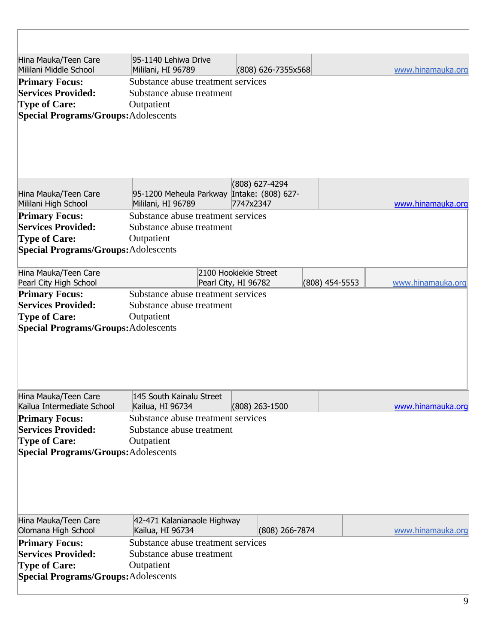| Hina Mauka/Teen Care<br>Mililani Middle School                                                                                                                                  | 95-1140 Lehiwa Drive<br>Mililani, HI 96789                                                                                       | $(808)$ 626-7355x568                          |                | www.hinamauka.org |
|---------------------------------------------------------------------------------------------------------------------------------------------------------------------------------|----------------------------------------------------------------------------------------------------------------------------------|-----------------------------------------------|----------------|-------------------|
| <b>Primary Focus:</b><br><b>Services Provided:</b><br><b>Type of Care:</b><br><b>Special Programs/Groups: Adolescents</b>                                                       | Substance abuse treatment services<br>Substance abuse treatment<br>Outpatient                                                    |                                               |                |                   |
| Hina Mauka/Teen Care<br>Mililani High School                                                                                                                                    | 95-1200 Meheula Parkway Intake: (808) 627-<br>Mililani, HI 96789                                                                 | (808) 627-4294<br>7747x2347                   |                | www.hinamauka.org |
| <b>Primary Focus:</b><br><b>Services Provided:</b><br><b>Type of Care:</b><br><b>Special Programs/Groups: Adolescents</b>                                                       | Substance abuse treatment services<br>Substance abuse treatment<br>Outpatient                                                    |                                               |                |                   |
| Hina Mauka/Teen Care<br>Pearl City High School                                                                                                                                  |                                                                                                                                  | 2100 Hookiekie Street<br>Pearl City, HI 96782 | (808) 454-5553 | www.hinamauka.org |
| <b>Primary Focus:</b><br><b>Services Provided:</b><br><b>Type of Care:</b><br><b>Special Programs/Groups: Adolescents</b>                                                       | Substance abuse treatment services<br>Substance abuse treatment<br>Outpatient                                                    |                                               |                |                   |
| Hina Mauka/Teen Care<br>Kailua Intermediate School<br><b>Primary Focus:</b><br><b>Services Provided:</b><br><b>Type of Care:</b><br><b>Special Programs/Groups: Adolescents</b> | 145 South Kainalu Street<br>Kailua, HI 96734<br>Substance abuse treatment services<br>Substance abuse treatment<br>Outpatient    | (808) 263-1500                                |                | www.hinamauka.org |
| Hina Mauka/Teen Care<br>Olomana High School<br><b>Primary Focus:</b><br><b>Services Provided:</b><br><b>Type of Care:</b>                                                       | 42-471 Kalanianaole Highway<br>Kailua, HI 96734<br>Substance abuse treatment services<br>Substance abuse treatment<br>Outpatient | (808) 266-7874                                |                | www.hinamauka.org |
| <b>Special Programs/Groups: Adolescents</b>                                                                                                                                     |                                                                                                                                  |                                               |                |                   |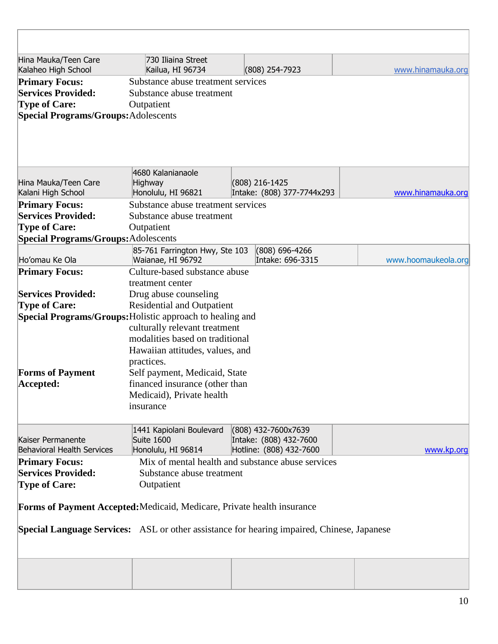| Hina Mauka/Teen Care                        | 730 Iliaina Street                                                                                |                                               |                            |                     |
|---------------------------------------------|---------------------------------------------------------------------------------------------------|-----------------------------------------------|----------------------------|---------------------|
| Kalaheo High School                         | Kailua, HI 96734                                                                                  | (808) 254-7923                                |                            | www.hinamauka.org   |
| <b>Primary Focus:</b>                       | Substance abuse treatment services                                                                |                                               |                            |                     |
| <b>Services Provided:</b>                   | Substance abuse treatment                                                                         |                                               |                            |                     |
| <b>Type of Care:</b>                        | Outpatient                                                                                        |                                               |                            |                     |
| <b>Special Programs/Groups: Adolescents</b> |                                                                                                   |                                               |                            |                     |
|                                             |                                                                                                   |                                               |                            |                     |
|                                             |                                                                                                   |                                               |                            |                     |
|                                             |                                                                                                   |                                               |                            |                     |
|                                             | 4680 Kalanianaole                                                                                 |                                               |                            |                     |
| Hina Mauka/Teen Care                        | <b>Highway</b>                                                                                    | (808) 216-1425                                |                            |                     |
| Kalani High School                          | Honolulu, HI 96821                                                                                |                                               | Intake: (808) 377-7744x293 | www.hinamauka.org   |
| <b>Primary Focus:</b>                       | Substance abuse treatment services                                                                |                                               |                            |                     |
| <b>Services Provided:</b>                   | Substance abuse treatment                                                                         |                                               |                            |                     |
| <b>Type of Care:</b>                        | Outpatient                                                                                        |                                               |                            |                     |
| <b>Special Programs/Groups: Adolescents</b> |                                                                                                   |                                               |                            |                     |
|                                             | 85-761 Farrington Hwy, Ste 103                                                                    |                                               | (808) 696-4266             |                     |
| Ho'omau Ke Ola                              | Waianae, HI 96792                                                                                 |                                               | Intake: 696-3315           | www.hoomaukeola.org |
| <b>Primary Focus:</b>                       | Culture-based substance abuse                                                                     |                                               |                            |                     |
|                                             | treatment center                                                                                  |                                               |                            |                     |
| <b>Services Provided:</b>                   | Drug abuse counseling                                                                             |                                               |                            |                     |
| <b>Type of Care:</b>                        | <b>Residential and Outpatient</b>                                                                 |                                               |                            |                     |
|                                             | Special Programs/Groups: Holistic approach to healing and                                         |                                               |                            |                     |
|                                             | culturally relevant treatment                                                                     |                                               |                            |                     |
|                                             | modalities based on traditional                                                                   |                                               |                            |                     |
|                                             | Hawaiian attitudes, values, and                                                                   |                                               |                            |                     |
|                                             | practices.                                                                                        |                                               |                            |                     |
| <b>Forms of Payment</b>                     | Self payment, Medicaid, State                                                                     |                                               |                            |                     |
| Accepted:                                   | financed insurance (other than                                                                    |                                               |                            |                     |
|                                             | Medicaid), Private health                                                                         |                                               |                            |                     |
|                                             | insurance                                                                                         |                                               |                            |                     |
|                                             |                                                                                                   |                                               |                            |                     |
| Kaiser Permanente                           | 1441 Kapiolani Boulevard<br>Suite 1600                                                            | (808) 432-7600x7639<br>Intake: (808) 432-7600 |                            |                     |
| <b>Behavioral Health Services</b>           | Honolulu, HI 96814                                                                                | Hotline: (808) 432-7600                       |                            | www.kp.org          |
| <b>Primary Focus:</b>                       | Mix of mental health and substance abuse services                                                 |                                               |                            |                     |
| <b>Services Provided:</b>                   | Substance abuse treatment                                                                         |                                               |                            |                     |
| <b>Type of Care:</b>                        | Outpatient                                                                                        |                                               |                            |                     |
|                                             |                                                                                                   |                                               |                            |                     |
|                                             | <b>Forms of Payment Accepted:</b> Medicaid, Medicare, Private health insurance                    |                                               |                            |                     |
|                                             | <b>Special Language Services:</b> ASL or other assistance for hearing impaired, Chinese, Japanese |                                               |                            |                     |
|                                             |                                                                                                   |                                               |                            |                     |
|                                             |                                                                                                   |                                               |                            |                     |
|                                             |                                                                                                   |                                               |                            |                     |
|                                             |                                                                                                   |                                               |                            |                     |
|                                             |                                                                                                   |                                               |                            |                     |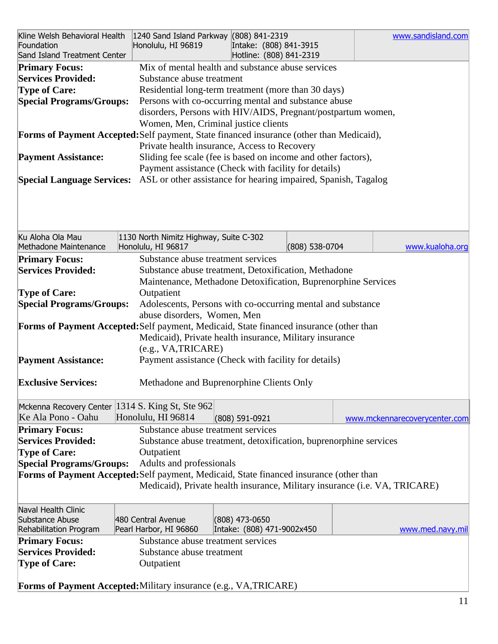| Kline Welsh Behavioral Health   1240 Sand Island Parkway (808) 841-2319<br>Foundation<br>Sand Island Treatment Center |            | Honolulu, HI 96819                                                         | Intake: (808) 841-3915<br>Hotline: (808) 841-2319 |                |  | www.sandisland.com            |
|-----------------------------------------------------------------------------------------------------------------------|------------|----------------------------------------------------------------------------|---------------------------------------------------|----------------|--|-------------------------------|
| <b>Primary Focus:</b>                                                                                                 |            | Mix of mental health and substance abuse services                          |                                                   |                |  |                               |
| <b>Services Provided:</b>                                                                                             |            | Substance abuse treatment                                                  |                                                   |                |  |                               |
| <b>Type of Care:</b>                                                                                                  |            | Residential long-term treatment (more than 30 days)                        |                                                   |                |  |                               |
| <b>Special Programs/Groups:</b>                                                                                       |            | Persons with co-occurring mental and substance abuse                       |                                                   |                |  |                               |
|                                                                                                                       |            | disorders, Persons with HIV/AIDS, Pregnant/postpartum women,               |                                                   |                |  |                               |
|                                                                                                                       |            | Women, Men, Criminal justice clients                                       |                                                   |                |  |                               |
|                                                                                                                       |            |                                                                            |                                                   |                |  |                               |
| Forms of Payment Accepted: Self payment, State financed insurance (other than Medicaid),                              |            |                                                                            |                                                   |                |  |                               |
|                                                                                                                       |            | Private health insurance, Access to Recovery                               |                                                   |                |  |                               |
| <b>Payment Assistance:</b>                                                                                            |            | Sliding fee scale (fee is based on income and other factors),              |                                                   |                |  |                               |
|                                                                                                                       |            | Payment assistance (Check with facility for details)                       |                                                   |                |  |                               |
| <b>Special Language Services:</b>                                                                                     |            | ASL or other assistance for hearing impaired, Spanish, Tagalog             |                                                   |                |  |                               |
| Ku Aloha Ola Mau                                                                                                      |            | 1130 North Nimitz Highway, Suite C-302                                     |                                                   |                |  |                               |
| Methadone Maintenance                                                                                                 |            | Honolulu, HI 96817                                                         |                                                   | (808) 538-0704 |  | www.kualoha.org               |
| <b>Primary Focus:</b>                                                                                                 |            | Substance abuse treatment services                                         |                                                   |                |  |                               |
| <b>Services Provided:</b>                                                                                             |            | Substance abuse treatment, Detoxification, Methadone                       |                                                   |                |  |                               |
|                                                                                                                       |            |                                                                            |                                                   |                |  |                               |
|                                                                                                                       |            | Maintenance, Methadone Detoxification, Buprenorphine Services              |                                                   |                |  |                               |
| <b>Type of Care:</b>                                                                                                  |            | Outpatient                                                                 |                                                   |                |  |                               |
| <b>Special Programs/Groups:</b>                                                                                       |            | Adolescents, Persons with co-occurring mental and substance                |                                                   |                |  |                               |
|                                                                                                                       |            | abuse disorders, Women, Men                                                |                                                   |                |  |                               |
| Forms of Payment Accepted: Self payment, Medicaid, State financed insurance (other than                               |            |                                                                            |                                                   |                |  |                               |
|                                                                                                                       |            | Medicaid), Private health insurance, Military insurance                    |                                                   |                |  |                               |
|                                                                                                                       |            | (e.g., VA, TRICARE)                                                        |                                                   |                |  |                               |
| <b>Payment Assistance:</b>                                                                                            |            | Payment assistance (Check with facility for details)                       |                                                   |                |  |                               |
|                                                                                                                       |            |                                                                            |                                                   |                |  |                               |
| <b>Exclusive Services:</b>                                                                                            |            | Methadone and Buprenorphine Clients Only                                   |                                                   |                |  |                               |
|                                                                                                                       |            |                                                                            |                                                   |                |  |                               |
| Mckenna Recovery Center 1314 S. King St, Ste 962                                                                      |            |                                                                            |                                                   |                |  |                               |
| Ke Ala Pono - Oahu                                                                                                    |            | Honolulu, HI 96814                                                         | (808) 591-0921                                    |                |  | www.mckennarecoverycenter.com |
|                                                                                                                       |            |                                                                            |                                                   |                |  |                               |
| <b>Primary Focus:</b>                                                                                                 |            | Substance abuse treatment services                                         |                                                   |                |  |                               |
| <b>Services Provided:</b>                                                                                             |            | Substance abuse treatment, detoxification, buprenorphine services          |                                                   |                |  |                               |
| <b>Type of Care:</b>                                                                                                  |            | Outpatient                                                                 |                                                   |                |  |                               |
| <b>Special Programs/Groups:</b>                                                                                       |            | Adults and professionals                                                   |                                                   |                |  |                               |
| Forms of Payment Accepted: Self payment, Medicaid, State financed insurance (other than                               |            |                                                                            |                                                   |                |  |                               |
|                                                                                                                       |            | Medicaid), Private health insurance, Military insurance (i.e. VA, TRICARE) |                                                   |                |  |                               |
|                                                                                                                       |            |                                                                            |                                                   |                |  |                               |
| Naval Health Clinic                                                                                                   |            |                                                                            |                                                   |                |  |                               |
| Substance Abuse                                                                                                       |            | 480 Central Avenue                                                         | (808) 473-0650                                    |                |  |                               |
| Rehabilitation Program                                                                                                |            | Pearl Harbor, HI 96860                                                     | Intake: (808) 471-9002x450                        |                |  | www.med.navy.mil              |
| <b>Primary Focus:</b>                                                                                                 |            | Substance abuse treatment services                                         |                                                   |                |  |                               |
| <b>Services Provided:</b>                                                                                             |            | Substance abuse treatment                                                  |                                                   |                |  |                               |
| <b>Type of Care:</b>                                                                                                  | Outpatient |                                                                            |                                                   |                |  |                               |
|                                                                                                                       |            |                                                                            |                                                   |                |  |                               |
| <b>Forms of Payment Accepted:</b> Military insurance (e.g., VA, TRICARE)                                              |            |                                                                            |                                                   |                |  |                               |
|                                                                                                                       |            |                                                                            |                                                   |                |  |                               |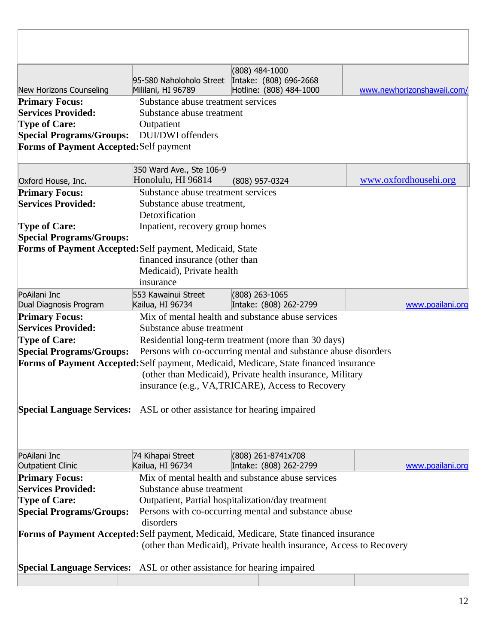|                                                                                | 95-580 Naholoholo Street           | $(808)$ 484-1000<br>Intake: (808) 696-2668                                            |                            |  |  |
|--------------------------------------------------------------------------------|------------------------------------|---------------------------------------------------------------------------------------|----------------------------|--|--|
| New Horizons Counseling                                                        | Mililani, HI 96789                 | Hotline: (808) 484-1000                                                               | www.newhorizonshawaii.com/ |  |  |
| <b>Primary Focus:</b><br><b>Services Provided:</b>                             | Substance abuse treatment services |                                                                                       |                            |  |  |
|                                                                                | Substance abuse treatment          |                                                                                       |                            |  |  |
| <b>Type of Care:</b>                                                           | Outpatient<br>DUI/DWI offenders    |                                                                                       |                            |  |  |
| <b>Special Programs/Groups:</b>                                                |                                    |                                                                                       |                            |  |  |
| Forms of Payment Accepted: Self payment                                        |                                    |                                                                                       |                            |  |  |
|                                                                                | 350 Ward Ave., Ste 106-9           |                                                                                       |                            |  |  |
| Oxford House, Inc.                                                             | Honolulu, HI 96814                 | (808) 957-0324                                                                        | www.oxfordhousehi.org      |  |  |
| <b>Primary Focus:</b>                                                          | Substance abuse treatment services |                                                                                       |                            |  |  |
| <b>Services Provided:</b>                                                      | Substance abuse treatment,         |                                                                                       |                            |  |  |
|                                                                                | Detoxification                     |                                                                                       |                            |  |  |
| <b>Type of Care:</b>                                                           | Inpatient, recovery group homes    |                                                                                       |                            |  |  |
| <b>Special Programs/Groups:</b>                                                |                                    |                                                                                       |                            |  |  |
| Forms of Payment Accepted: Self payment, Medicaid, State                       |                                    |                                                                                       |                            |  |  |
|                                                                                | financed insurance (other than     |                                                                                       |                            |  |  |
|                                                                                | Medicaid), Private health          |                                                                                       |                            |  |  |
|                                                                                | insurance                          |                                                                                       |                            |  |  |
| PoAilani Inc                                                                   | 553 Kawainui Street                | $(808)$ 263-1065                                                                      |                            |  |  |
| Dual Diagnosis Program                                                         | Kailua, HI 96734                   | Intake: (808) 262-2799                                                                | www.poailani.org           |  |  |
| <b>Primary Focus:</b>                                                          |                                    | Mix of mental health and substance abuse services                                     |                            |  |  |
| <b>Services Provided:</b>                                                      | Substance abuse treatment          |                                                                                       |                            |  |  |
| <b>Type of Care:</b>                                                           |                                    | Residential long-term treatment (more than 30 days)                                   |                            |  |  |
| <b>Special Programs/Groups:</b>                                                |                                    | Persons with co-occurring mental and substance abuse disorders                        |                            |  |  |
|                                                                                |                                    | Forms of Payment Accepted: Self payment, Medicaid, Medicare, State financed insurance |                            |  |  |
|                                                                                |                                    | (other than Medicaid), Private health insurance, Military                             |                            |  |  |
|                                                                                |                                    | insurance (e.g., VA,TRICARE), Access to Recovery                                      |                            |  |  |
|                                                                                |                                    |                                                                                       |                            |  |  |
| <b>Special Language Services:</b> ASL or other assistance for hearing impaired |                                    |                                                                                       |                            |  |  |
|                                                                                |                                    |                                                                                       |                            |  |  |
| PoAilani Inc                                                                   | 74 Kihapai Street                  | (808) 261-8741x708                                                                    |                            |  |  |
| <b>Outpatient Clinic</b>                                                       | Kailua, HI 96734                   | Intake: (808) 262-2799                                                                | www.poailani.org           |  |  |
| <b>Primary Focus:</b>                                                          |                                    | Mix of mental health and substance abuse services                                     |                            |  |  |
| <b>Services Provided:</b>                                                      | Substance abuse treatment          |                                                                                       |                            |  |  |
| <b>Type of Care:</b>                                                           |                                    | Outpatient, Partial hospitalization/day treatment                                     |                            |  |  |
| <b>Special Programs/Groups:</b>                                                |                                    | Persons with co-occurring mental and substance abuse                                  |                            |  |  |
| disorders                                                                      |                                    |                                                                                       |                            |  |  |
|                                                                                |                                    | Forms of Payment Accepted: Self payment, Medicaid, Medicare, State financed insurance |                            |  |  |
|                                                                                |                                    | (other than Medicaid), Private health insurance, Access to Recovery                   |                            |  |  |
|                                                                                |                                    |                                                                                       |                            |  |  |
| <b>Special Language Services:</b> ASL or other assistance for hearing impaired |                                    |                                                                                       |                            |  |  |
|                                                                                |                                    |                                                                                       |                            |  |  |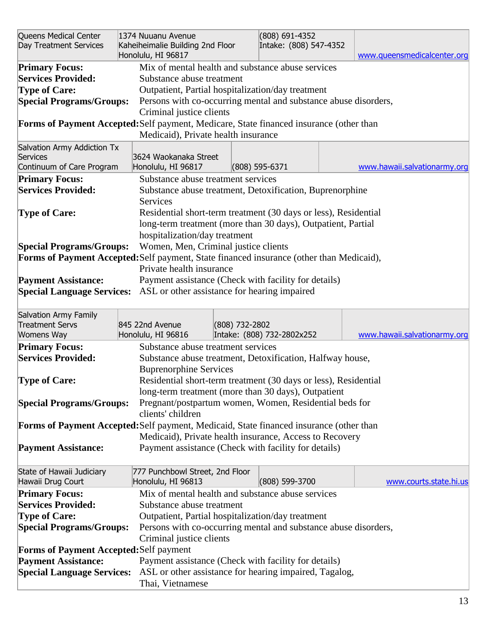| Queens Medical Center<br>Day Treatment Services                                                                                                                                                          | 1374 Nuuanu Avenue<br>Kaheiheimalie Building 2nd Floor<br>Honolulu, HI 96817                                                                      |                | (808) 691-4352<br>Intake: (808) 547-4352                                                                                        | www.queensmedicalcenter.org  |  |
|----------------------------------------------------------------------------------------------------------------------------------------------------------------------------------------------------------|---------------------------------------------------------------------------------------------------------------------------------------------------|----------------|---------------------------------------------------------------------------------------------------------------------------------|------------------------------|--|
| <b>Primary Focus:</b><br><b>Services Provided:</b><br><b>Type of Care:</b><br><b>Special Programs/Groups:</b><br>Forms of Payment Accepted: Self payment, Medicare, State financed insurance (other than | Substance abuse treatment<br>Outpatient, Partial hospitalization/day treatment<br>Criminal justice clients<br>Medicaid), Private health insurance |                | Mix of mental health and substance abuse services<br>Persons with co-occurring mental and substance abuse disorders,            |                              |  |
| Salvation Army Addiction Tx<br>Services<br>Continuum of Care Program                                                                                                                                     | 3624 Waokanaka Street<br>Honolulu, HI 96817                                                                                                       |                | $(808)$ 595-6371                                                                                                                | www.hawaii.salvationarmy.org |  |
| <b>Primary Focus:</b><br><b>Services Provided:</b>                                                                                                                                                       | Substance abuse treatment services<br>Services                                                                                                    |                | Substance abuse treatment, Detoxification, Buprenorphine                                                                        |                              |  |
| <b>Type of Care:</b><br><b>Special Programs/Groups:</b>                                                                                                                                                  | hospitalization/day treatment<br>Women, Men, Criminal justice clients                                                                             |                | Residential short-term treatment (30 days or less), Residential<br>long-term treatment (more than 30 days), Outpatient, Partial |                              |  |
| Forms of Payment Accepted: Self payment, State financed insurance (other than Medicaid),                                                                                                                 | Private health insurance                                                                                                                          |                |                                                                                                                                 |                              |  |
| <b>Payment Assistance:</b><br><b>Special Language Services:</b> ASL or other assistance for hearing impaired                                                                                             |                                                                                                                                                   |                | Payment assistance (Check with facility for details)                                                                            |                              |  |
| Salvation Army Family<br><b>Treatment Servs</b><br>Womens Way                                                                                                                                            | 845 22nd Avenue<br>Honolulu, HI 96816                                                                                                             | (808) 732-2802 | Intake: (808) 732-2802x252                                                                                                      | www.hawaii.salvationarmy.org |  |
| <b>Primary Focus:</b><br><b>Services Provided:</b>                                                                                                                                                       | Substance abuse treatment services<br><b>Buprenorphine Services</b>                                                                               |                | Substance abuse treatment, Detoxification, Halfway house,                                                                       |                              |  |
| <b>Type of Care:</b>                                                                                                                                                                                     |                                                                                                                                                   |                | Residential short-term treatment (30 days or less), Residential<br>long-term treatment (more than 30 days), Outpatient          |                              |  |
| <b>Special Programs/Groups:</b>                                                                                                                                                                          | clients' children                                                                                                                                 |                | Pregnant/postpartum women, Women, Residential beds for                                                                          |                              |  |
| Forms of Payment Accepted: Self payment, Medicaid, State financed insurance (other than<br><b>Payment Assistance:</b>                                                                                    |                                                                                                                                                   |                | Medicaid), Private health insurance, Access to Recovery<br>Payment assistance (Check with facility for details)                 |                              |  |
| State of Hawaii Judiciary                                                                                                                                                                                | 777 Punchbowl Street, 2nd Floor                                                                                                                   |                |                                                                                                                                 |                              |  |
| Hawaii Drug Court                                                                                                                                                                                        | Honolulu, HI 96813                                                                                                                                |                | (808) 599-3700                                                                                                                  | www.courts.state.hi.us       |  |
| <b>Primary Focus:</b>                                                                                                                                                                                    |                                                                                                                                                   |                | Mix of mental health and substance abuse services                                                                               |                              |  |
| <b>Services Provided:</b>                                                                                                                                                                                | Substance abuse treatment                                                                                                                         |                |                                                                                                                                 |                              |  |
| <b>Type of Care:</b>                                                                                                                                                                                     | Outpatient, Partial hospitalization/day treatment                                                                                                 |                |                                                                                                                                 |                              |  |
|                                                                                                                                                                                                          | Persons with co-occurring mental and substance abuse disorders,<br><b>Special Programs/Groups:</b><br>Criminal justice clients                    |                |                                                                                                                                 |                              |  |
| <b>Forms of Payment Accepted: Self payment</b>                                                                                                                                                           |                                                                                                                                                   |                |                                                                                                                                 |                              |  |
| <b>Payment Assistance:</b><br><b>Special Language Services:</b>                                                                                                                                          | Thai, Vietnamese                                                                                                                                  |                | Payment assistance (Check with facility for details)<br>ASL or other assistance for hearing impaired, Tagalog,                  |                              |  |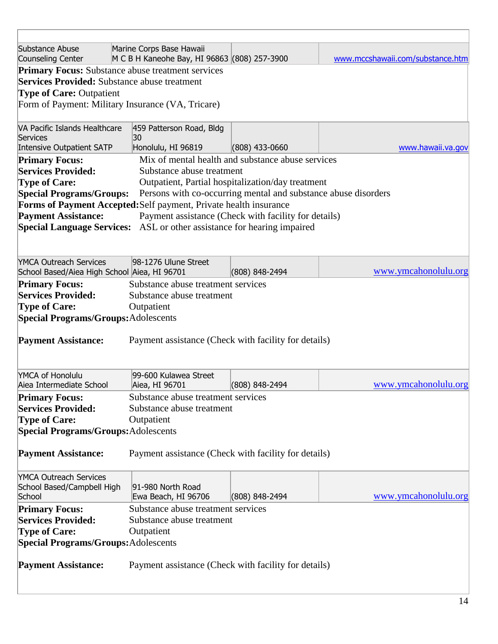| Substance Abuse<br>Counseling Center                | Marine Corps Base Hawaii<br>M C B H Kaneohe Bay, HI 96863 (808) 257-3900 |                                                                | www.mccshawaii.com/substance.htm |
|-----------------------------------------------------|--------------------------------------------------------------------------|----------------------------------------------------------------|----------------------------------|
|                                                     | <b>Primary Focus:</b> Substance abuse treatment services                 |                                                                |                                  |
| <b>Services Provided:</b> Substance abuse treatment |                                                                          |                                                                |                                  |
| <b>Type of Care: Outpatient</b>                     |                                                                          |                                                                |                                  |
|                                                     | Form of Payment: Military Insurance (VA, Tricare)                        |                                                                |                                  |
|                                                     |                                                                          |                                                                |                                  |
| VA Pacific Islands Healthcare                       | 459 Patterson Road, Bldg                                                 |                                                                |                                  |
| Services                                            | 30                                                                       |                                                                |                                  |
| <b>Intensive Outpatient SATP</b>                    | Honolulu, HI 96819                                                       | $(808)$ 433-0660                                               | www.hawaii.va.gov                |
| <b>Primary Focus:</b>                               |                                                                          | Mix of mental health and substance abuse services              |                                  |
| <b>Services Provided:</b>                           | Substance abuse treatment                                                |                                                                |                                  |
| <b>Type of Care:</b>                                |                                                                          | Outpatient, Partial hospitalization/day treatment              |                                  |
| <b>Special Programs/Groups:</b>                     |                                                                          | Persons with co-occurring mental and substance abuse disorders |                                  |
|                                                     | Forms of Payment Accepted: Self payment, Private health insurance        |                                                                |                                  |
| <b>Payment Assistance:</b>                          |                                                                          | Payment assistance (Check with facility for details)           |                                  |
| <b>Special Language Services:</b>                   |                                                                          | ASL or other assistance for hearing impaired                   |                                  |
|                                                     |                                                                          |                                                                |                                  |
|                                                     |                                                                          |                                                                |                                  |
| <b>YMCA Outreach Services</b>                       | 98-1276 Ulune Street                                                     |                                                                | www.ymcahonolulu.org             |
| School Based/Aiea High School Aiea, HI 96701        |                                                                          | $(808) 848 - 2494$                                             |                                  |
| <b>Primary Focus:</b>                               | Substance abuse treatment services                                       |                                                                |                                  |
| <b>Services Provided:</b>                           | Substance abuse treatment                                                |                                                                |                                  |
| <b>Type of Care:</b>                                | Outpatient                                                               |                                                                |                                  |
| <b>Special Programs/Groups: Adolescents</b>         |                                                                          |                                                                |                                  |
| <b>Payment Assistance:</b>                          | Payment assistance (Check with facility for details)                     |                                                                |                                  |
|                                                     |                                                                          |                                                                |                                  |
|                                                     |                                                                          |                                                                |                                  |
| YMCA of Honolulu                                    | 99-600 Kulawea Street                                                    |                                                                |                                  |
| Aiea Intermediate School                            | Aiea, HI 96701                                                           | (808) 848-2494                                                 | www.ymcahonolulu.org             |
| <b>Primary Focus:</b>                               | Substance abuse treatment services                                       |                                                                |                                  |
| <b>Services Provided:</b>                           | Substance abuse treatment                                                |                                                                |                                  |
| <b>Type of Care:</b>                                | Outpatient                                                               |                                                                |                                  |
| <b>Special Programs/Groups: Adolescents</b>         |                                                                          |                                                                |                                  |
|                                                     |                                                                          |                                                                |                                  |
| <b>Payment Assistance:</b>                          | Payment assistance (Check with facility for details)                     |                                                                |                                  |
|                                                     |                                                                          |                                                                |                                  |
| <b>YMCA Outreach Services</b>                       |                                                                          |                                                                |                                  |
| School Based/Campbell High                          | 91-980 North Road                                                        |                                                                |                                  |
| School                                              | Ewa Beach, HI 96706                                                      | $(808) 848 - 2494$                                             | www.ymcahonolulu.org             |
| <b>Primary Focus:</b>                               | Substance abuse treatment services                                       |                                                                |                                  |
| <b>Services Provided:</b>                           | Substance abuse treatment                                                |                                                                |                                  |
| <b>Type of Care:</b>                                | Outpatient                                                               |                                                                |                                  |
| <b>Special Programs/Groups: Adolescents</b>         |                                                                          |                                                                |                                  |
|                                                     |                                                                          |                                                                |                                  |
| <b>Payment Assistance:</b>                          | Payment assistance (Check with facility for details)                     |                                                                |                                  |
|                                                     |                                                                          |                                                                |                                  |
|                                                     |                                                                          |                                                                |                                  |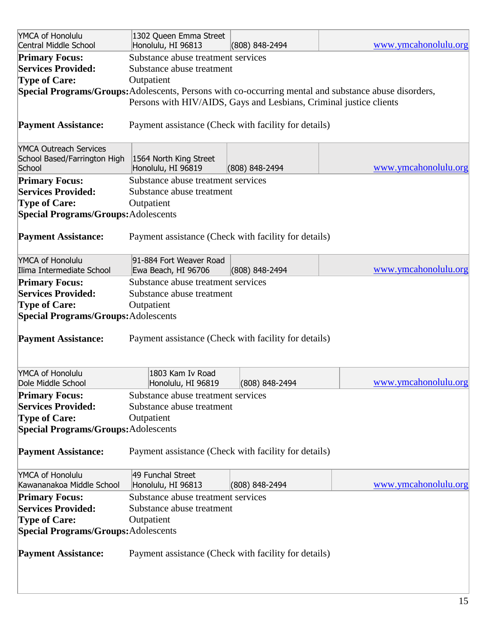| YMCA of Honolulu<br>Central Middle School   | 1302 Queen Emma Street<br>Honolulu, HI 96813                       | (808) 848-2494     | www.ymcahonolulu.org                                                                                  |
|---------------------------------------------|--------------------------------------------------------------------|--------------------|-------------------------------------------------------------------------------------------------------|
| <b>Primary Focus:</b>                       | Substance abuse treatment services                                 |                    |                                                                                                       |
| <b>Services Provided:</b>                   | Substance abuse treatment                                          |                    |                                                                                                       |
| <b>Type of Care:</b>                        | Outpatient                                                         |                    |                                                                                                       |
|                                             |                                                                    |                    | Special Programs/Groups: Adolescents, Persons with co-occurring mental and substance abuse disorders, |
|                                             | Persons with HIV/AIDS, Gays and Lesbians, Criminal justice clients |                    |                                                                                                       |
| <b>Payment Assistance:</b>                  | Payment assistance (Check with facility for details)               |                    |                                                                                                       |
| <b>YMCA Outreach Services</b>               |                                                                    |                    |                                                                                                       |
| School Based/Farrington High                | 1564 North King Street                                             |                    |                                                                                                       |
| School                                      | Honolulu, HI 96819                                                 | (808) 848-2494     | www.ymcahonolulu.org                                                                                  |
| <b>Primary Focus:</b>                       | Substance abuse treatment services                                 |                    |                                                                                                       |
| <b>Services Provided:</b>                   | Substance abuse treatment                                          |                    |                                                                                                       |
| <b>Type of Care:</b>                        | Outpatient                                                         |                    |                                                                                                       |
| <b>Special Programs/Groups: Adolescents</b> |                                                                    |                    |                                                                                                       |
|                                             |                                                                    |                    |                                                                                                       |
| <b>Payment Assistance:</b>                  | Payment assistance (Check with facility for details)               |                    |                                                                                                       |
| YMCA of Honolulu                            | 91-884 Fort Weaver Road                                            |                    |                                                                                                       |
| Ilima Intermediate School                   | Ewa Beach, HI 96706                                                | $(808) 848 - 2494$ | www.ymcahonolulu.org                                                                                  |
| <b>Primary Focus:</b>                       | Substance abuse treatment services                                 |                    |                                                                                                       |
| <b>Services Provided:</b>                   | Substance abuse treatment                                          |                    |                                                                                                       |
| <b>Type of Care:</b>                        | Outpatient                                                         |                    |                                                                                                       |
| <b>Special Programs/Groups: Adolescents</b> |                                                                    |                    |                                                                                                       |
|                                             |                                                                    |                    |                                                                                                       |
| <b>Payment Assistance:</b>                  | Payment assistance (Check with facility for details)               |                    |                                                                                                       |
|                                             |                                                                    |                    |                                                                                                       |
| YMCA of Honolulu<br>Dole Middle School      | 1803 Kam Iv Road<br>Honolulu, HI 96819                             | $(808)$ 848-2494   | www.ymcahonolulu.org                                                                                  |
| <b>Primary Focus:</b>                       | Substance abuse treatment services                                 |                    |                                                                                                       |
| <b>Services Provided:</b>                   | Substance abuse treatment                                          |                    |                                                                                                       |
| <b>Type of Care:</b>                        | Outpatient                                                         |                    |                                                                                                       |
| <b>Special Programs/Groups: Adolescents</b> |                                                                    |                    |                                                                                                       |
| <b>Payment Assistance:</b>                  | Payment assistance (Check with facility for details)               |                    |                                                                                                       |
|                                             |                                                                    |                    |                                                                                                       |
| YMCA of Honolulu                            | 49 Funchal Street                                                  |                    |                                                                                                       |
| Kawananakoa Middle School                   | Honolulu, HI 96813                                                 | (808) 848-2494     | www.ymcahonolulu.org                                                                                  |
| <b>Primary Focus:</b>                       | Substance abuse treatment services                                 |                    |                                                                                                       |
| <b>Services Provided:</b>                   | Substance abuse treatment                                          |                    |                                                                                                       |
| <b>Type of Care:</b>                        | Outpatient                                                         |                    |                                                                                                       |
| <b>Special Programs/Groups: Adolescents</b> |                                                                    |                    |                                                                                                       |
|                                             |                                                                    |                    |                                                                                                       |
| <b>Payment Assistance:</b>                  | Payment assistance (Check with facility for details)               |                    |                                                                                                       |
|                                             |                                                                    |                    |                                                                                                       |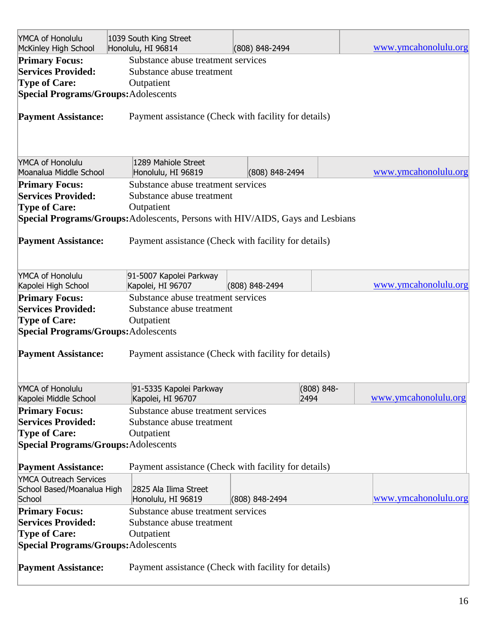| YMCA of Honolulu<br>McKinley High School    | 1039 South King Street<br>Honolulu, HI 96814                                   | (808) 848-2494 |               | www.ymcahonolulu.org |
|---------------------------------------------|--------------------------------------------------------------------------------|----------------|---------------|----------------------|
| <b>Primary Focus:</b>                       | Substance abuse treatment services                                             |                |               |                      |
| <b>Services Provided:</b>                   | Substance abuse treatment                                                      |                |               |                      |
| <b>Type of Care:</b>                        | Outpatient                                                                     |                |               |                      |
| <b>Special Programs/Groups: Adolescents</b> |                                                                                |                |               |                      |
|                                             |                                                                                |                |               |                      |
| <b>Payment Assistance:</b>                  | Payment assistance (Check with facility for details)                           |                |               |                      |
|                                             |                                                                                |                |               |                      |
| YMCA of Honolulu                            | 1289 Mahiole Street                                                            |                |               |                      |
| Moanalua Middle School                      | Honolulu, HI 96819                                                             | (808) 848-2494 |               | www.ymcahonolulu.org |
| <b>Primary Focus:</b>                       | Substance abuse treatment services                                             |                |               |                      |
| <b>Services Provided:</b>                   | Substance abuse treatment                                                      |                |               |                      |
| <b>Type of Care:</b>                        | Outpatient                                                                     |                |               |                      |
|                                             | Special Programs/Groups: Adolescents, Persons with HIV/AIDS, Gays and Lesbians |                |               |                      |
|                                             |                                                                                |                |               |                      |
| <b>Payment Assistance:</b>                  | Payment assistance (Check with facility for details)                           |                |               |                      |
|                                             |                                                                                |                |               |                      |
|                                             |                                                                                |                |               |                      |
|                                             |                                                                                |                |               |                      |
| YMCA of Honolulu<br>Kapolei High School     | 91-5007 Kapolei Parkway<br>Kapolei, HI 96707                                   | (808) 848-2494 |               | www.ymcahonolulu.org |
|                                             |                                                                                |                |               |                      |
| <b>Primary Focus:</b>                       | Substance abuse treatment services                                             |                |               |                      |
| <b>Services Provided:</b>                   | Substance abuse treatment                                                      |                |               |                      |
| <b>Type of Care:</b>                        | Outpatient                                                                     |                |               |                      |
| <b>Special Programs/Groups: Adolescents</b> |                                                                                |                |               |                      |
|                                             |                                                                                |                |               |                      |
| <b>Payment Assistance:</b>                  | Payment assistance (Check with facility for details)                           |                |               |                      |
|                                             |                                                                                |                |               |                      |
|                                             |                                                                                |                |               |                      |
| YMCA of Honolulu                            | 91-5335 Kapolei Parkway                                                        |                | $(808) 848 -$ |                      |
| Kapolei Middle School                       | Kapolei, HI 96707                                                              |                | 2494          | www.ymcahonolulu.org |
| <b>Primary Focus:</b>                       | Substance abuse treatment services                                             |                |               |                      |
| <b>Services Provided:</b>                   | Substance abuse treatment                                                      |                |               |                      |
| <b>Type of Care:</b>                        | Outpatient                                                                     |                |               |                      |
| <b>Special Programs/Groups: Adolescents</b> |                                                                                |                |               |                      |
|                                             |                                                                                |                |               |                      |
| <b>Payment Assistance:</b>                  | Payment assistance (Check with facility for details)                           |                |               |                      |
| <b>YMCA Outreach Services</b>               |                                                                                |                |               |                      |
| School Based/Moanalua High                  | 2825 Ala Ilima Street                                                          |                |               |                      |
| School                                      | Honolulu, HI 96819                                                             | (808) 848-2494 |               | www.ymcahonolulu.org |
| <b>Primary Focus:</b>                       | Substance abuse treatment services                                             |                |               |                      |
| <b>Services Provided:</b>                   | Substance abuse treatment                                                      |                |               |                      |
| <b>Type of Care:</b>                        | Outpatient                                                                     |                |               |                      |
| <b>Special Programs/Groups: Adolescents</b> |                                                                                |                |               |                      |
|                                             |                                                                                |                |               |                      |
| <b>Payment Assistance:</b>                  | Payment assistance (Check with facility for details)                           |                |               |                      |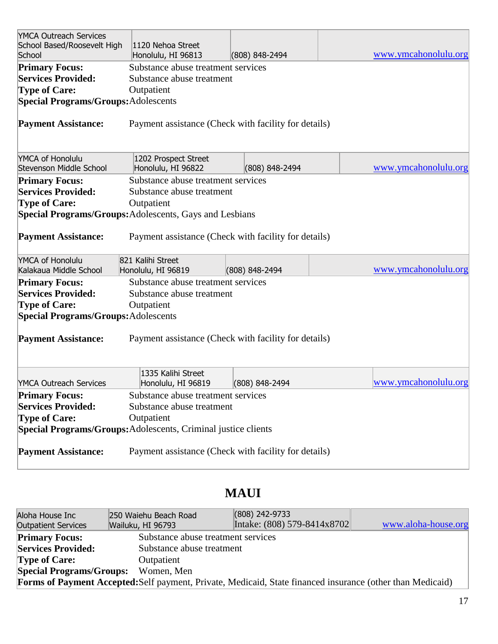| <b>YMCA Outreach Services</b><br>School Based/Roosevelt High<br>School | 1120 Nehoa Street<br>Honolulu, HI 96813              | (808) 848-2494 | www.ymcahonolulu.org |
|------------------------------------------------------------------------|------------------------------------------------------|----------------|----------------------|
| <b>Primary Focus:</b>                                                  | Substance abuse treatment services                   |                |                      |
| <b>Services Provided:</b>                                              | Substance abuse treatment                            |                |                      |
| <b>Type of Care:</b>                                                   | Outpatient                                           |                |                      |
|                                                                        |                                                      |                |                      |
| <b>Special Programs/Groups: Adolescents</b>                            |                                                      |                |                      |
| <b>Payment Assistance:</b>                                             | Payment assistance (Check with facility for details) |                |                      |
| YMCA of Honolulu                                                       | 1202 Prospect Street                                 |                |                      |
| Stevenson Middle School                                                | Honolulu, HI 96822                                   | (808) 848-2494 | www.ymcahonolulu.org |
| <b>Primary Focus:</b>                                                  | Substance abuse treatment services                   |                |                      |
| <b>Services Provided:</b>                                              | Substance abuse treatment                            |                |                      |
| <b>Type of Care:</b>                                                   | Outpatient                                           |                |                      |
| <b>Special Programs/Groups:</b> Adolescents, Gays and Lesbians         |                                                      |                |                      |
| <b>Payment Assistance:</b>                                             | Payment assistance (Check with facility for details) |                |                      |
| YMCA of Honolulu                                                       | 821 Kalihi Street                                    |                |                      |
| Kalakaua Middle School                                                 | Honolulu, HI 96819                                   | (808) 848-2494 | www.ymcahonolulu.org |
| <b>Primary Focus:</b>                                                  | Substance abuse treatment services                   |                |                      |
| <b>Services Provided:</b>                                              | Substance abuse treatment                            |                |                      |
| <b>Type of Care:</b>                                                   | Outpatient                                           |                |                      |
| <b>Special Programs/Groups: Adolescents</b>                            |                                                      |                |                      |
| <b>Payment Assistance:</b>                                             | Payment assistance (Check with facility for details) |                |                      |
| <b>YMCA Outreach Services</b>                                          | 1335 Kalihi Street<br>Honolulu, HI 96819             | (808) 848-2494 | www.ymcahonolulu.org |
| <b>Primary Focus:</b>                                                  | Substance abuse treatment services                   |                |                      |
| <b>Services Provided:</b>                                              | Substance abuse treatment                            |                |                      |
| <b>Type of Care:</b>                                                   | Outpatient                                           |                |                      |
| Special Programs/Groups: Adolescents, Criminal justice clients         |                                                      |                |                      |
| <b>Payment Assistance:</b>                                             | Payment assistance (Check with facility for details) |                |                      |

## **MAUI**

| Aloha House Inc<br><b>Outpatient Services</b> | 250 Waiehu Beach Road<br>Wailuku, HI 96793                                                                        | $(808)$ 242-9733<br>Intake: (808) 579-8414x8702 | www.aloha-house.org |  |  |
|-----------------------------------------------|-------------------------------------------------------------------------------------------------------------------|-------------------------------------------------|---------------------|--|--|
| <b>Primary Focus:</b>                         | Substance abuse treatment services                                                                                |                                                 |                     |  |  |
| <b>Services Provided:</b>                     |                                                                                                                   | Substance abuse treatment                       |                     |  |  |
| <b>Type of Care:</b>                          | Outpatient                                                                                                        |                                                 |                     |  |  |
| <b>Special Programs/Groups:</b>               | Women, Men                                                                                                        |                                                 |                     |  |  |
|                                               | <b>Forms of Payment Accepted:</b> Self payment, Private, Medicaid, State financed insurance (other than Medicaid) |                                                 |                     |  |  |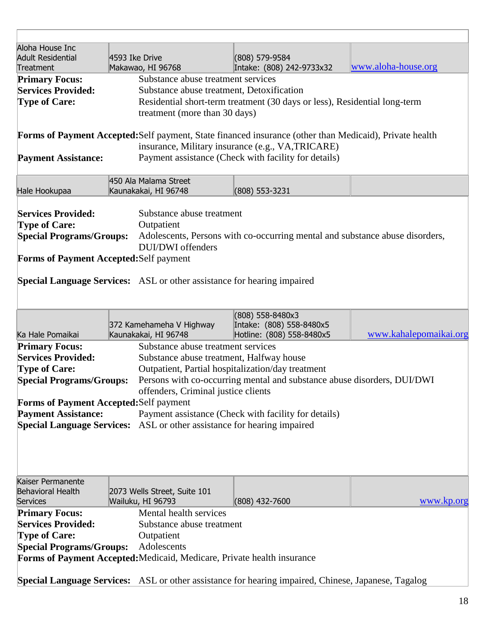| Aloha House Inc<br><b>Adult Residential</b><br>Treatment                                            | 4593 Ike Drive<br>Makawao, HI 96768                                            | (808) 579-9584<br>Intake: (808) 242-9733x32                                                                                                                  | www.aloha-house.org    |  |  |  |
|-----------------------------------------------------------------------------------------------------|--------------------------------------------------------------------------------|--------------------------------------------------------------------------------------------------------------------------------------------------------------|------------------------|--|--|--|
| <b>Primary Focus:</b>                                                                               | Substance abuse treatment services                                             |                                                                                                                                                              |                        |  |  |  |
| <b>Services Provided:</b>                                                                           |                                                                                | Substance abuse treatment, Detoxification                                                                                                                    |                        |  |  |  |
| <b>Type of Care:</b>                                                                                |                                                                                | Residential short-term treatment (30 days or less), Residential long-term                                                                                    |                        |  |  |  |
|                                                                                                     | treatment (more than 30 days)                                                  |                                                                                                                                                              |                        |  |  |  |
|                                                                                                     |                                                                                |                                                                                                                                                              |                        |  |  |  |
|                                                                                                     |                                                                                | Forms of Payment Accepted: Self payment, State financed insurance (other than Medicaid), Private health<br>insurance, Military insurance (e.g., VA, TRICARE) |                        |  |  |  |
| <b>Payment Assistance:</b>                                                                          |                                                                                | Payment assistance (Check with facility for details)                                                                                                         |                        |  |  |  |
|                                                                                                     | 450 Ala Malama Street                                                          |                                                                                                                                                              |                        |  |  |  |
| Hale Hookupaa                                                                                       | Kaunakakai, HI 96748                                                           | $(808)$ 553-3231                                                                                                                                             |                        |  |  |  |
| <b>Services Provided:</b>                                                                           | Substance abuse treatment                                                      |                                                                                                                                                              |                        |  |  |  |
| <b>Type of Care:</b>                                                                                | Outpatient                                                                     |                                                                                                                                                              |                        |  |  |  |
| <b>Special Programs/Groups:</b>                                                                     |                                                                                | Adolescents, Persons with co-occurring mental and substance abuse disorders,                                                                                 |                        |  |  |  |
|                                                                                                     | DUI/DWI offenders                                                              |                                                                                                                                                              |                        |  |  |  |
| <b>Forms of Payment Accepted: Self payment</b>                                                      |                                                                                |                                                                                                                                                              |                        |  |  |  |
|                                                                                                     |                                                                                |                                                                                                                                                              |                        |  |  |  |
|                                                                                                     | <b>Special Language Services:</b> ASL or other assistance for hearing impaired |                                                                                                                                                              |                        |  |  |  |
|                                                                                                     |                                                                                | (808) 558-8480x3                                                                                                                                             |                        |  |  |  |
|                                                                                                     | 372 Kamehameha V Highway                                                       | Intake: (808) 558-8480x5                                                                                                                                     |                        |  |  |  |
| Ka Hale Pomaikai                                                                                    | Kaunakakai, HI 96748                                                           | Hotline: (808) 558-8480x5                                                                                                                                    | www.kahalepomaikai.org |  |  |  |
| <b>Primary Focus:</b>                                                                               | Substance abuse treatment services                                             |                                                                                                                                                              |                        |  |  |  |
| <b>Services Provided:</b>                                                                           |                                                                                | Substance abuse treatment, Halfway house                                                                                                                     |                        |  |  |  |
| <b>Type of Care:</b>                                                                                |                                                                                | Outpatient, Partial hospitalization/day treatment                                                                                                            |                        |  |  |  |
| <b>Special Programs/Groups:</b>                                                                     |                                                                                | Persons with co-occurring mental and substance abuse disorders, DUI/DWI                                                                                      |                        |  |  |  |
|                                                                                                     | offenders, Criminal justice clients                                            |                                                                                                                                                              |                        |  |  |  |
| <b>Forms of Payment Accepted: Self payment</b>                                                      |                                                                                |                                                                                                                                                              |                        |  |  |  |
| <b>Payment Assistance:</b>                                                                          |                                                                                | Payment assistance (Check with facility for details)                                                                                                         |                        |  |  |  |
|                                                                                                     | Special Language Services: ASL or other assistance for hearing impaired        |                                                                                                                                                              |                        |  |  |  |
|                                                                                                     |                                                                                |                                                                                                                                                              |                        |  |  |  |
|                                                                                                     |                                                                                |                                                                                                                                                              |                        |  |  |  |
| Kaiser Permanente                                                                                   |                                                                                |                                                                                                                                                              |                        |  |  |  |
| <b>Behavioral Health</b>                                                                            | 2073 Wells Street, Suite 101                                                   |                                                                                                                                                              |                        |  |  |  |
| <b>Services</b>                                                                                     | Wailuku, HI 96793                                                              | (808) 432-7600                                                                                                                                               | www.kp.org             |  |  |  |
| <b>Primary Focus:</b>                                                                               | Mental health services                                                         |                                                                                                                                                              |                        |  |  |  |
| <b>Services Provided:</b>                                                                           | Substance abuse treatment                                                      |                                                                                                                                                              |                        |  |  |  |
| <b>Type of Care:</b>                                                                                | Outpatient                                                                     |                                                                                                                                                              |                        |  |  |  |
| <b>Special Programs/Groups:</b>                                                                     | Adolescents                                                                    |                                                                                                                                                              |                        |  |  |  |
|                                                                                                     | Forms of Payment Accepted: Medicaid, Medicare, Private health insurance        |                                                                                                                                                              |                        |  |  |  |
|                                                                                                     |                                                                                |                                                                                                                                                              |                        |  |  |  |
| Special Language Services: ASL or other assistance for hearing impaired, Chinese, Japanese, Tagalog |                                                                                |                                                                                                                                                              |                        |  |  |  |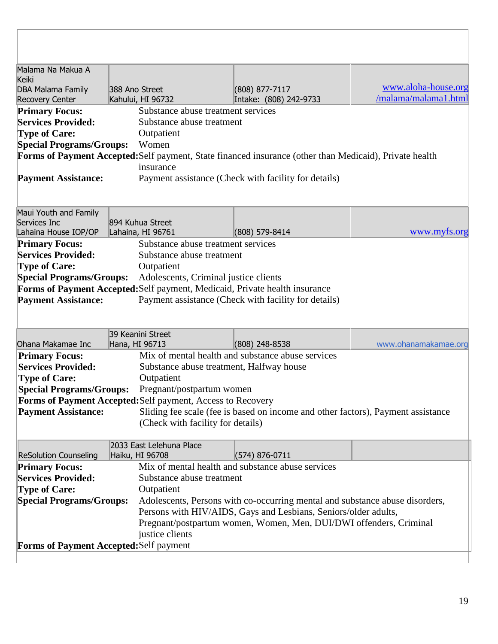| Malama Na Makua A                       |                |                                                             |                                                                                                         |                      |
|-----------------------------------------|----------------|-------------------------------------------------------------|---------------------------------------------------------------------------------------------------------|----------------------|
| <b>Keiki</b>                            |                |                                                             |                                                                                                         |                      |
| DBA Malama Family                       | 388 Ano Street |                                                             | (808) 877-7117                                                                                          | www.aloha-house.org  |
| <b>Recovery Center</b>                  |                | Kahului, HI 96732                                           | Intake: (808) 242-9733                                                                                  | /malama/malama1.html |
| <b>Primary Focus:</b>                   |                | Substance abuse treatment services                          |                                                                                                         |                      |
| <b>Services Provided:</b>               |                | Substance abuse treatment                                   |                                                                                                         |                      |
| <b>Type of Care:</b>                    |                | Outpatient                                                  |                                                                                                         |                      |
| <b>Special Programs/Groups:</b>         |                | Women                                                       |                                                                                                         |                      |
|                                         |                |                                                             | Forms of Payment Accepted: Self payment, State financed insurance (other than Medicaid), Private health |                      |
|                                         |                | insurance                                                   |                                                                                                         |                      |
| <b>Payment Assistance:</b>              |                |                                                             | Payment assistance (Check with facility for details)                                                    |                      |
|                                         |                |                                                             |                                                                                                         |                      |
| Maui Youth and Family                   |                |                                                             |                                                                                                         |                      |
| Services Inc                            |                | 894 Kuhua Street                                            |                                                                                                         |                      |
| Lahaina House IOP/OP                    |                | Lahaina, HI 96761                                           | (808) 579-8414                                                                                          | www.myfs.org         |
| <b>Primary Focus:</b>                   |                | Substance abuse treatment services                          |                                                                                                         |                      |
| <b>Services Provided:</b>               |                | Substance abuse treatment                                   |                                                                                                         |                      |
| <b>Type of Care:</b>                    |                | Outpatient                                                  |                                                                                                         |                      |
| <b>Special Programs/Groups:</b>         |                | Adolescents, Criminal justice clients                       |                                                                                                         |                      |
|                                         |                |                                                             | Forms of Payment Accepted: Self payment, Medicaid, Private health insurance                             |                      |
| <b>Payment Assistance:</b>              |                |                                                             | Payment assistance (Check with facility for details)                                                    |                      |
|                                         |                |                                                             |                                                                                                         |                      |
|                                         |                |                                                             |                                                                                                         |                      |
|                                         |                | 39 Keanini Street                                           |                                                                                                         |                      |
| Ohana Makamae Inc                       |                | Hana, HI 96713                                              | $(808)$ 248-8538                                                                                        | www.ohanamakamae.org |
| <b>Primary Focus:</b>                   |                |                                                             | Mix of mental health and substance abuse services                                                       |                      |
| <b>Services Provided:</b>               |                | Substance abuse treatment, Halfway house                    |                                                                                                         |                      |
| <b>Type of Care:</b>                    |                | Outpatient                                                  |                                                                                                         |                      |
| <b>Special Programs/Groups:</b>         |                | Pregnant/postpartum women                                   |                                                                                                         |                      |
|                                         |                | Forms of Payment Accepted: Self payment, Access to Recovery |                                                                                                         |                      |
| <b>Payment Assistance:</b>              |                |                                                             | Sliding fee scale (fee is based on income and other factors), Payment assistance                        |                      |
|                                         |                | (Check with facility for details)                           |                                                                                                         |                      |
|                                         |                | 2033 East Lelehuna Place                                    |                                                                                                         |                      |
| <b>ReSolution Counseling</b>            |                | Haiku, HI 96708                                             | (574) 876-0711                                                                                          |                      |
| <b>Primary Focus:</b>                   |                |                                                             | Mix of mental health and substance abuse services                                                       |                      |
| <b>Services Provided:</b>               |                | Substance abuse treatment                                   |                                                                                                         |                      |
| <b>Type of Care:</b>                    |                | Outpatient                                                  |                                                                                                         |                      |
| <b>Special Programs/Groups:</b>         |                |                                                             | Adolescents, Persons with co-occurring mental and substance abuse disorders,                            |                      |
|                                         |                |                                                             | Persons with HIV/AIDS, Gays and Lesbians, Seniors/older adults,                                         |                      |
|                                         |                |                                                             | Pregnant/postpartum women, Women, Men, DUI/DWI offenders, Criminal                                      |                      |
|                                         |                | justice clients                                             |                                                                                                         |                      |
| Forms of Payment Accepted: Self payment |                |                                                             |                                                                                                         |                      |
|                                         |                |                                                             |                                                                                                         |                      |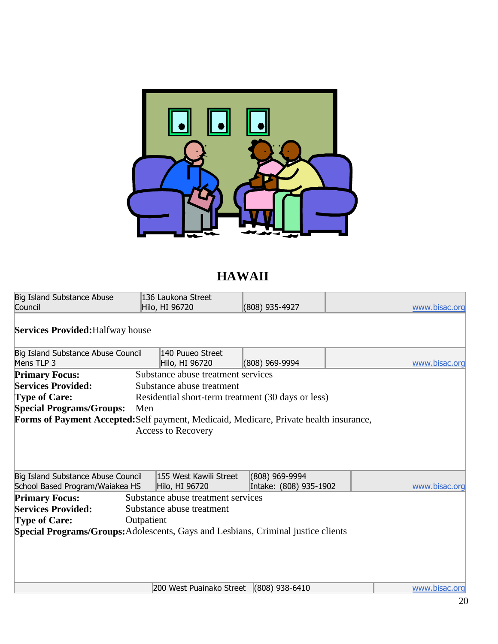

# **HAWAII**

| Council                                                                                | 136 Laukona Street<br>Hilo, HI 96720               | (808) 935-4927         | www.bisac.org |
|----------------------------------------------------------------------------------------|----------------------------------------------------|------------------------|---------------|
| <b>Services Provided: Halfway house</b>                                                |                                                    |                        |               |
| Big Island Substance Abuse Council                                                     | 140 Puueo Street                                   |                        |               |
| Mens TLP 3                                                                             | Hilo, HI 96720                                     | (808) 969-9994         | www.bisac.org |
| <b>Primary Focus:</b>                                                                  | Substance abuse treatment services                 |                        |               |
| <b>Services Provided:</b>                                                              | Substance abuse treatment                          |                        |               |
| <b>Type of Care:</b>                                                                   | Residential short-term treatment (30 days or less) |                        |               |
| <b>Special Programs/Groups:</b>                                                        | Men                                                |                        |               |
| Forms of Payment Accepted: Self payment, Medicaid, Medicare, Private health insurance, |                                                    |                        |               |
|                                                                                        | <b>Access to Recovery</b>                          |                        |               |
|                                                                                        |                                                    |                        |               |
|                                                                                        |                                                    |                        |               |
|                                                                                        |                                                    |                        |               |
|                                                                                        |                                                    |                        |               |
| Big Island Substance Abuse Council                                                     | 155 West Kawili Street                             | $(808)$ 969-9994       |               |
| School Based Program/Waiakea HS                                                        | Hilo, HI 96720                                     | Intake: (808) 935-1902 | www.bisac.org |
| <b>Primary Focus:</b>                                                                  | Substance abuse treatment services                 |                        |               |
| <b>Services Provided:</b>                                                              | Substance abuse treatment                          |                        |               |
| <b>Type of Care:</b>                                                                   | Outpatient                                         |                        |               |
|                                                                                        |                                                    |                        |               |
| Special Programs/Groups: Adolescents, Gays and Lesbians, Criminal justice clients      |                                                    |                        |               |
|                                                                                        |                                                    |                        |               |
|                                                                                        |                                                    |                        |               |
|                                                                                        |                                                    |                        |               |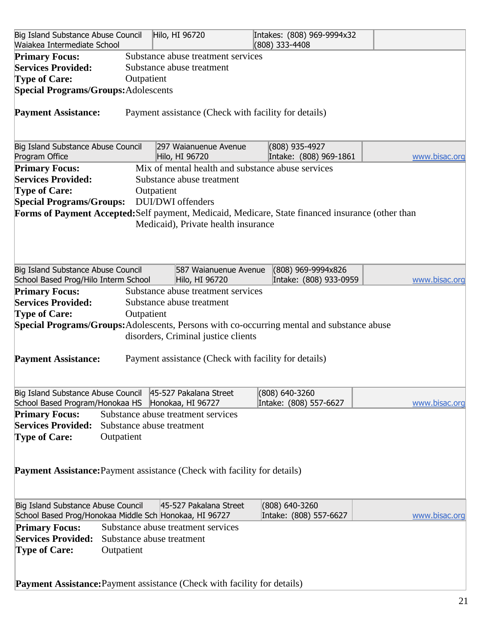| Big Island Substance Abuse Council<br>Waiakea Intermediate School                                              |                                         | Hilo, HI 96720                                                                  | Intakes: (808) 969-9994x32<br>(808) 333-4408                                                      |               |
|----------------------------------------------------------------------------------------------------------------|-----------------------------------------|---------------------------------------------------------------------------------|---------------------------------------------------------------------------------------------------|---------------|
| <b>Primary Focus:</b><br><b>Services Provided:</b><br><b>Type of Care:</b>                                     | Outpatient                              | Substance abuse treatment services<br>Substance abuse treatment                 |                                                                                                   |               |
| <b>Special Programs/Groups:</b> Adolescents                                                                    |                                         |                                                                                 |                                                                                                   |               |
| <b>Payment Assistance:</b>                                                                                     |                                         | Payment assistance (Check with facility for details)                            |                                                                                                   |               |
| Big Island Substance Abuse Council<br>Program Office                                                           |                                         | 297 Waianuenue Avenue<br>Hilo, HI 96720                                         | (808) 935-4927<br>Intake: (808) 969-1861                                                          | www.bisac.org |
| <b>Primary Focus:</b>                                                                                          |                                         | Mix of mental health and substance abuse services                               |                                                                                                   |               |
| <b>Services Provided:</b>                                                                                      |                                         | Substance abuse treatment                                                       |                                                                                                   |               |
| <b>Type of Care:</b>                                                                                           | Outpatient                              |                                                                                 |                                                                                                   |               |
| <b>Special Programs/Groups:</b>                                                                                |                                         | DUI/DWI offenders                                                               | Forms of Payment Accepted: Self payment, Medicaid, Medicare, State financed insurance (other than |               |
|                                                                                                                |                                         | Medicaid), Private health insurance                                             |                                                                                                   |               |
| Big Island Substance Abuse Council<br>School Based Prog/Hilo Interm School                                     |                                         | 587 Waianuenue Avenue<br>Hilo, HI 96720                                         | (808) 969-9994x826<br>Intake: (808) 933-0959                                                      | www.bisac.org |
| <b>Primary Focus:</b>                                                                                          |                                         | Substance abuse treatment services                                              |                                                                                                   |               |
| <b>Services Provided:</b>                                                                                      |                                         | Substance abuse treatment                                                       |                                                                                                   |               |
| <b>Type of Care:</b>                                                                                           | Outpatient                              |                                                                                 |                                                                                                   |               |
|                                                                                                                |                                         |                                                                                 | Special Programs/Groups: Adolescents, Persons with co-occurring mental and substance abuse        |               |
|                                                                                                                |                                         | disorders, Criminal justice clients                                             |                                                                                                   |               |
| <b>Payment Assistance:</b>                                                                                     |                                         | Payment assistance (Check with facility for details)                            |                                                                                                   |               |
| Big Island Substance Abuse Council 45-527 Pakalana Street<br>School Based Program/Honokaa HS Honokaa, HI 96727 |                                         |                                                                                 | (808) 640-3260<br>Intake: (808) 557-6627                                                          | www.bisac.org |
| <b>Primary Focus:</b>                                                                                          |                                         | Substance abuse treatment services                                              |                                                                                                   |               |
| <b>Services Provided:</b>                                                                                      | Substance abuse treatment               |                                                                                 |                                                                                                   |               |
| <b>Type of Care:</b>                                                                                           | Outpatient                              |                                                                                 |                                                                                                   |               |
|                                                                                                                |                                         | <b>Payment Assistance:</b> Payment assistance (Check with facility for details) |                                                                                                   |               |
| Big Island Substance Abuse Council<br>School Based Prog/Honokaa Middle Sch Honokaa, HI 96727                   |                                         | 45-527 Pakalana Street                                                          | (808) 640-3260<br>Intake: (808) 557-6627                                                          | www.bisac.org |
| <b>Primary Focus:</b><br><b>Services Provided:</b><br><b>Type of Care:</b>                                     | Substance abuse treatment<br>Outpatient | Substance abuse treatment services                                              |                                                                                                   |               |
|                                                                                                                |                                         | <b>Payment Assistance:</b> Payment assistance (Check with facility for details) |                                                                                                   |               |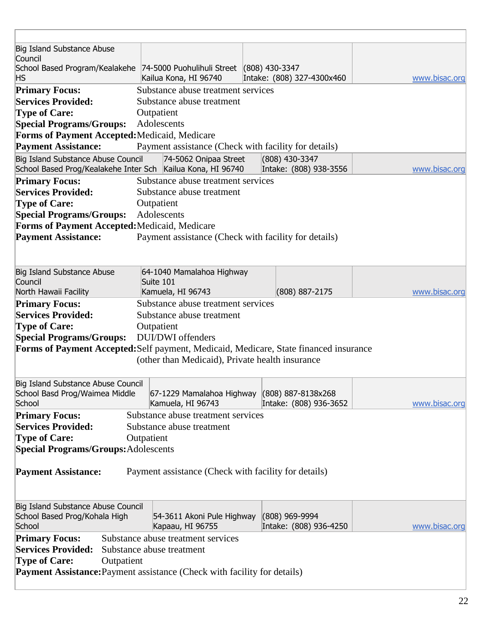| Big Island Substance Abuse                                                                        |            |                                                                   |                                          |               |
|---------------------------------------------------------------------------------------------------|------------|-------------------------------------------------------------------|------------------------------------------|---------------|
| Council<br>School Based Program/Kealakehe 74-5000 Puohulihuli Street (808) 430-3347               |            |                                                                   |                                          |               |
| <b>HS</b>                                                                                         |            | Kailua Kona, HI 96740                                             | Intake: (808) 327-4300x460               | www.bisac.org |
| <b>Primary Focus:</b>                                                                             |            | Substance abuse treatment services                                |                                          |               |
| <b>Services Provided:</b>                                                                         |            | Substance abuse treatment                                         |                                          |               |
| <b>Type of Care:</b>                                                                              | Outpatient |                                                                   |                                          |               |
| <b>Special Programs/Groups:</b>                                                                   |            | Adolescents                                                       |                                          |               |
| Forms of Payment Accepted: Medicaid, Medicare                                                     |            |                                                                   |                                          |               |
| <b>Payment Assistance:</b>                                                                        |            | Payment assistance (Check with facility for details)              |                                          |               |
| Big Island Substance Abuse Council<br>School Based Prog/Kealakehe Inter Sch Kailua Kona, HI 96740 |            | 74-5062 Onipaa Street                                             | (808) 430-3347<br>Intake: (808) 938-3556 | www.bisac.org |
| <b>Primary Focus:</b>                                                                             |            | Substance abuse treatment services                                |                                          |               |
| <b>Services Provided:</b>                                                                         |            | Substance abuse treatment                                         |                                          |               |
| <b>Type of Care:</b>                                                                              | Outpatient |                                                                   |                                          |               |
| <b>Special Programs/Groups:</b>                                                                   |            | Adolescents                                                       |                                          |               |
| Forms of Payment Accepted: Medicaid, Medicare                                                     |            |                                                                   |                                          |               |
| <b>Payment Assistance:</b>                                                                        |            | Payment assistance (Check with facility for details)              |                                          |               |
|                                                                                                   |            |                                                                   |                                          |               |
| Big Island Substance Abuse                                                                        |            | 64-1040 Mamalahoa Highway                                         |                                          |               |
| Council                                                                                           | Suite 101  |                                                                   |                                          |               |
| North Hawaii Facility                                                                             |            | Kamuela, HI 96743                                                 | $(808) 887 - 2175$                       | www.bisac.org |
| <b>Primary Focus:</b>                                                                             |            | Substance abuse treatment services                                |                                          |               |
| <b>Services Provided:</b>                                                                         |            | Substance abuse treatment                                         |                                          |               |
| <b>Type of Care:</b>                                                                              | Outpatient |                                                                   |                                          |               |
| <b>Special Programs/Groups:</b>                                                                   |            | <b>DUI/DWI</b> offenders                                          |                                          |               |
| Forms of Payment Accepted: Self payment, Medicaid, Medicare, State financed insurance             |            |                                                                   |                                          |               |
|                                                                                                   |            | (other than Medicaid), Private health insurance                   |                                          |               |
|                                                                                                   |            |                                                                   |                                          |               |
| Big Island Substance Abuse Council                                                                |            |                                                                   |                                          |               |
| School Basd Prog/Waimea Middle<br>School                                                          |            | 67-1229 Mamalahoa Highway (808) 887-8138x268<br>Kamuela, HI 96743 | Intake: (808) 936-3652                   | www.bisac.org |
| <b>Primary Focus:</b>                                                                             |            | Substance abuse treatment services                                |                                          |               |
| <b>Services Provided:</b>                                                                         |            | Substance abuse treatment                                         |                                          |               |
| <b>Type of Care:</b>                                                                              | Outpatient |                                                                   |                                          |               |
| <b>Special Programs/Groups: Adolescents</b>                                                       |            |                                                                   |                                          |               |
|                                                                                                   |            |                                                                   |                                          |               |
| <b>Payment Assistance:</b>                                                                        |            | Payment assistance (Check with facility for details)              |                                          |               |
|                                                                                                   |            |                                                                   |                                          |               |
|                                                                                                   |            |                                                                   |                                          |               |
| Big Island Substance Abuse Council                                                                |            |                                                                   |                                          |               |
| School Based Prog/Kohala High                                                                     |            | 54-3611 Akoni Pule Highway                                        | $(808)$ 969-9994                         |               |
| School                                                                                            |            | Kapaau, HI 96755                                                  | Intake: (808) 936-4250                   | www.bisac.org |
| <b>Primary Focus:</b>                                                                             |            | Substance abuse treatment services                                |                                          |               |
| <b>Services Provided:</b>                                                                         |            | Substance abuse treatment                                         |                                          |               |
| <b>Type of Care:</b><br>Outpatient                                                                |            |                                                                   |                                          |               |
| <b>Payment Assistance:</b> Payment assistance (Check with facility for details)                   |            |                                                                   |                                          |               |
|                                                                                                   |            |                                                                   |                                          |               |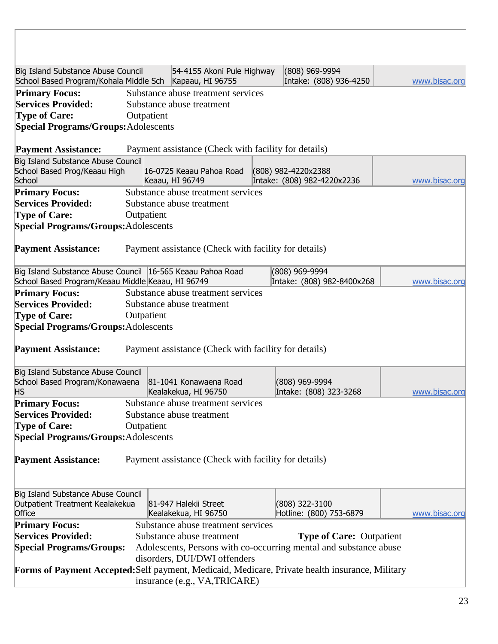| Big Island Substance Abuse Council<br>School Based Program/Kohala Middle Sch   Kapaau, HI 96755                 |            | 54-4155 Akoni Pule Highway                            | (808) 969-9994<br>Intake: (808) 936-4250                          | www.bisac.org |
|-----------------------------------------------------------------------------------------------------------------|------------|-------------------------------------------------------|-------------------------------------------------------------------|---------------|
| <b>Primary Focus:</b>                                                                                           |            | Substance abuse treatment services                    |                                                                   |               |
| <b>Services Provided:</b>                                                                                       |            | Substance abuse treatment                             |                                                                   |               |
| <b>Type of Care:</b>                                                                                            | Outpatient |                                                       |                                                                   |               |
| <b>Special Programs/Groups: Adolescents</b>                                                                     |            |                                                       |                                                                   |               |
| <b>Payment Assistance:</b>                                                                                      |            | Payment assistance (Check with facility for details)  |                                                                   |               |
| Big Island Substance Abuse Council                                                                              |            |                                                       |                                                                   |               |
| School Based Prog/Keaau High<br>School                                                                          |            | 16-0725 Keaau Pahoa Road                              | (808) 982-4220x2388                                               |               |
|                                                                                                                 |            | Keaau, HI 96749<br>Substance abuse treatment services | Intake: (808) 982-4220x2236                                       | www.bisac.org |
| <b>Primary Focus:</b><br><b>Services Provided:</b>                                                              |            | Substance abuse treatment                             |                                                                   |               |
| <b>Type of Care:</b>                                                                                            | Outpatient |                                                       |                                                                   |               |
| <b>Special Programs/Groups:</b> Adolescents                                                                     |            |                                                       |                                                                   |               |
| <b>Payment Assistance:</b>                                                                                      |            | Payment assistance (Check with facility for details)  |                                                                   |               |
|                                                                                                                 |            |                                                       |                                                                   |               |
| Big Island Substance Abuse Council 16-565 Keaau Pahoa Road<br>School Based Program/Keaau Middle Keaau, HI 96749 |            |                                                       | (808) 969-9994<br>Intake: (808) 982-8400x268                      | www.bisac.org |
| <b>Primary Focus:</b>                                                                                           |            | Substance abuse treatment services                    |                                                                   |               |
| <b>Services Provided:</b>                                                                                       |            | Substance abuse treatment                             |                                                                   |               |
| <b>Type of Care:</b>                                                                                            | Outpatient |                                                       |                                                                   |               |
| <b>Special Programs/Groups:</b> Adolescents                                                                     |            |                                                       |                                                                   |               |
| <b>Payment Assistance:</b>                                                                                      |            | Payment assistance (Check with facility for details)  |                                                                   |               |
| Big Island Substance Abuse Council                                                                              |            | 81-1041 Konawaena Road                                |                                                                   |               |
| School Based Program/Konawaena<br><b>HS</b>                                                                     |            | Kealakekua, HI 96750                                  | (808) 969-9994<br>Intake: (808) 323-3268                          | www.bisac.org |
| <b>Primary Focus:</b>                                                                                           |            | Substance abuse treatment services                    |                                                                   |               |
| <b>Services Provided:</b>                                                                                       |            | Substance abuse treatment                             |                                                                   |               |
| <b>Type of Care:</b>                                                                                            | Outpatient |                                                       |                                                                   |               |
| <b>Special Programs/Groups:</b> Adolescents                                                                     |            |                                                       |                                                                   |               |
|                                                                                                                 |            |                                                       |                                                                   |               |
| <b>Payment Assistance:</b>                                                                                      |            | Payment assistance (Check with facility for details)  |                                                                   |               |
| Big Island Substance Abuse Council                                                                              |            |                                                       |                                                                   |               |
| Outpatient Treatment Kealakekua<br>Office                                                                       |            | 81-947 Halekii Street<br>Kealakekua, HI 96750         | (808) 322-3100<br>Hotline: (800) 753-6879                         | www.bisac.org |
| <b>Primary Focus:</b>                                                                                           |            | Substance abuse treatment services                    |                                                                   |               |
| <b>Services Provided:</b>                                                                                       |            | Substance abuse treatment                             | <b>Type of Care: Outpatient</b>                                   |               |
| <b>Special Programs/Groups:</b>                                                                                 |            |                                                       | Adolescents, Persons with co-occurring mental and substance abuse |               |
|                                                                                                                 |            | disorders, DUI/DWI offenders                          |                                                                   |               |
| Forms of Payment Accepted: Self payment, Medicaid, Medicare, Private health insurance, Military                 |            | insurance (e.g., VA, TRICARE)                         |                                                                   |               |
|                                                                                                                 |            |                                                       |                                                                   |               |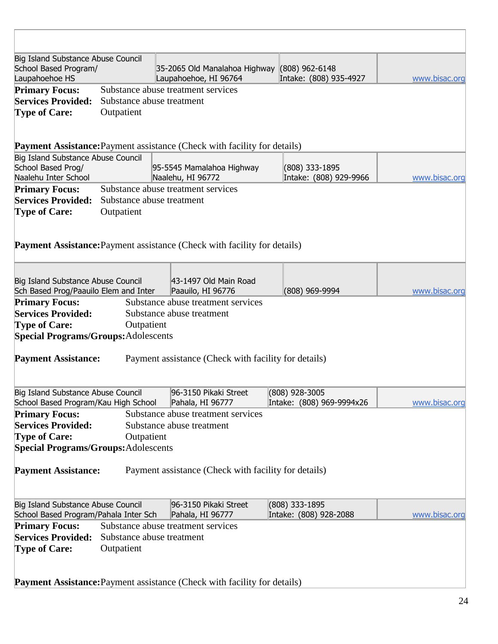| Big Island Substance Abuse Council<br>School Based Program/<br>Laupahoehoe HS |            | 35-2065 Old Manalahoa Highway (808) 962-6148<br>Laupahoehoe, HI 96764           | Intake: (808) 935-4927                      | www.bisac.org |
|-------------------------------------------------------------------------------|------------|---------------------------------------------------------------------------------|---------------------------------------------|---------------|
| <b>Primary Focus:</b>                                                         |            | Substance abuse treatment services                                              |                                             |               |
| <b>Services Provided:</b>                                                     |            | Substance abuse treatment                                                       |                                             |               |
| <b>Type of Care:</b>                                                          | Outpatient |                                                                                 |                                             |               |
|                                                                               |            |                                                                                 |                                             |               |
|                                                                               |            | Payment Assistance: Payment assistance (Check with facility for details)        |                                             |               |
| Big Island Substance Abuse Council                                            |            |                                                                                 |                                             |               |
| School Based Prog/                                                            |            | 95-5545 Mamalahoa Highway                                                       | (808) 333-1895                              |               |
| Naalehu Inter School                                                          |            | Naalehu, HI 96772                                                               | Intake: (808) 929-9966                      | www.bisac.org |
| <b>Primary Focus:</b>                                                         |            | Substance abuse treatment services                                              |                                             |               |
| <b>Services Provided:</b>                                                     |            | Substance abuse treatment                                                       |                                             |               |
| <b>Type of Care:</b>                                                          | Outpatient |                                                                                 |                                             |               |
|                                                                               |            |                                                                                 |                                             |               |
|                                                                               |            |                                                                                 |                                             |               |
|                                                                               |            | <b>Payment Assistance:</b> Payment assistance (Check with facility for details) |                                             |               |
|                                                                               |            |                                                                                 |                                             |               |
| Big Island Substance Abuse Council                                            |            | 43-1497 Old Main Road                                                           |                                             |               |
| Sch Based Prog/Paauilo Elem and Inter                                         |            | Paauilo, HI 96776                                                               | (808) 969-9994                              | www.bisac.org |
| <b>Primary Focus:</b>                                                         |            | Substance abuse treatment services                                              |                                             |               |
| <b>Services Provided:</b>                                                     |            | Substance abuse treatment                                                       |                                             |               |
| <b>Type of Care:</b>                                                          | Outpatient |                                                                                 |                                             |               |
| <b>Special Programs/Groups:</b> Adolescents                                   |            |                                                                                 |                                             |               |
|                                                                               |            |                                                                                 |                                             |               |
| <b>Payment Assistance:</b>                                                    |            | Payment assistance (Check with facility for details)                            |                                             |               |
|                                                                               |            |                                                                                 |                                             |               |
|                                                                               |            |                                                                                 |                                             |               |
| Big Island Substance Abuse Council<br>School Based Program/Kau High School    |            | 96-3150 Pikaki Street<br>Pahala, HI 96777                                       | (808) 928-3005<br>Intake: (808) 969-9994x26 | www.bisac.org |
|                                                                               |            |                                                                                 |                                             |               |
| <b>Primary Focus:</b>                                                         |            | Substance abuse treatment services                                              |                                             |               |
| <b>Services Provided:</b>                                                     |            | Substance abuse treatment                                                       |                                             |               |
| <b>Type of Care:</b>                                                          | Outpatient |                                                                                 |                                             |               |
| <b>Special Programs/Groups:</b> Adolescents                                   |            |                                                                                 |                                             |               |
| <b>Payment Assistance:</b>                                                    |            | Payment assistance (Check with facility for details)                            |                                             |               |
|                                                                               |            |                                                                                 |                                             |               |
| Big Island Substance Abuse Council                                            |            | 96-3150 Pikaki Street                                                           | (808) 333-1895                              |               |
| School Based Program/Pahala Inter Sch                                         |            | Pahala, HI 96777                                                                | Intake: (808) 928-2088                      | www.bisac.org |
| <b>Primary Focus:</b>                                                         |            | Substance abuse treatment services                                              |                                             |               |
| <b>Services Provided:</b>                                                     |            | Substance abuse treatment                                                       |                                             |               |
| <b>Type of Care:</b>                                                          | Outpatient |                                                                                 |                                             |               |
|                                                                               |            |                                                                                 |                                             |               |
|                                                                               |            |                                                                                 |                                             |               |
|                                                                               |            | <b>Payment Assistance:</b> Payment assistance (Check with facility for details) |                                             |               |
|                                                                               |            |                                                                                 |                                             |               |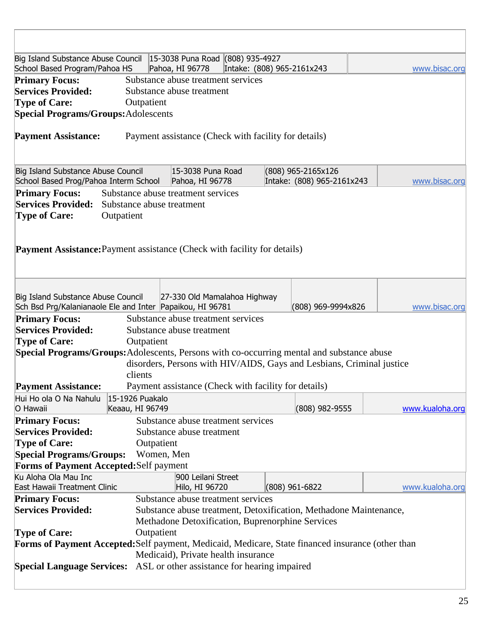| Big Island Substance Abuse Council   15-3038 Puna Road (808) 935-4927<br>School Based Program/Pahoa HS |                                                  | Pahoa, HI 96778                      |  | Intake: (808) 965-2161x243                                            |  | www.bisac.org   |
|--------------------------------------------------------------------------------------------------------|--------------------------------------------------|--------------------------------------|--|-----------------------------------------------------------------------|--|-----------------|
| <b>Primary Focus:</b>                                                                                  |                                                  | Substance abuse treatment services   |  |                                                                       |  |                 |
| <b>Services Provided:</b>                                                                              |                                                  | Substance abuse treatment            |  |                                                                       |  |                 |
| <b>Type of Care:</b>                                                                                   | Outpatient                                       |                                      |  |                                                                       |  |                 |
| <b>Special Programs/Groups:</b> Adolescents                                                            |                                                  |                                      |  |                                                                       |  |                 |
|                                                                                                        |                                                  |                                      |  |                                                                       |  |                 |
| <b>Payment Assistance:</b>                                                                             |                                                  |                                      |  | Payment assistance (Check with facility for details)                  |  |                 |
| Big Island Substance Abuse Council<br>School Based Prog/Pahoa Interm School                            |                                                  | 15-3038 Puna Road<br>Pahoa, HI 96778 |  | (808) 965-2165x126<br>Intake: (808) 965-2161x243                      |  | www.bisac.org   |
| <b>Primary Focus:</b>                                                                                  |                                                  | Substance abuse treatment services   |  |                                                                       |  |                 |
| <b>Services Provided:</b>                                                                              | Substance abuse treatment                        |                                      |  |                                                                       |  |                 |
| <b>Type of Care:</b>                                                                                   | Outpatient                                       |                                      |  |                                                                       |  |                 |
|                                                                                                        |                                                  |                                      |  |                                                                       |  |                 |
| <b>Payment Assistance:</b> Payment assistance (Check with facility for details)                        |                                                  |                                      |  |                                                                       |  |                 |
| Big Island Substance Abuse Council<br>Sch Bsd Prg/Kalanianaole Ele and Inter Papaikou, HI 96781        |                                                  | 27-330 Old Mamalahoa Highway         |  | (808) 969-9994x826                                                    |  | www.bisac.org   |
| <b>Primary Focus:</b>                                                                                  |                                                  | Substance abuse treatment services   |  |                                                                       |  |                 |
| <b>Services Provided:</b>                                                                              |                                                  | Substance abuse treatment            |  |                                                                       |  |                 |
| <b>Type of Care:</b>                                                                                   | Outpatient                                       |                                      |  |                                                                       |  |                 |
| Special Programs/Groups: Adolescents, Persons with co-occurring mental and substance abuse             |                                                  |                                      |  |                                                                       |  |                 |
|                                                                                                        |                                                  |                                      |  | disorders, Persons with HIV/AIDS, Gays and Lesbians, Criminal justice |  |                 |
|                                                                                                        | clients                                          |                                      |  |                                                                       |  |                 |
| <b>Payment Assistance:</b>                                                                             |                                                  |                                      |  | Payment assistance (Check with facility for details)                  |  |                 |
| Hui Ho ola O Na Nahulu 15-1926 Puakalo                                                                 |                                                  |                                      |  |                                                                       |  |                 |
| O Hawaii                                                                                               | Keaau, HI 96749                                  |                                      |  | (808) 982-9555                                                        |  | www.kualoha.org |
| <b>Primary Focus:</b>                                                                                  | Substance abuse treatment services               |                                      |  |                                                                       |  |                 |
| <b>Services Provided:</b><br>Substance abuse treatment                                                 |                                                  |                                      |  |                                                                       |  |                 |
| <b>Type of Care:</b><br>Outpatient                                                                     |                                                  |                                      |  |                                                                       |  |                 |
| <b>Special Programs/Groups:</b><br>Women, Men                                                          |                                                  |                                      |  |                                                                       |  |                 |
| Forms of Payment Accepted: Self payment                                                                |                                                  |                                      |  |                                                                       |  |                 |
| Ku Aloha Ola Mau Inc                                                                                   |                                                  | 900 Leilani Street                   |  |                                                                       |  |                 |
| East Hawaii Treatment Clinic                                                                           |                                                  | Hilo, HI 96720                       |  | $(808)$ 961-6822                                                      |  | www.kualoha.org |
| <b>Primary Focus:</b>                                                                                  |                                                  | Substance abuse treatment services   |  |                                                                       |  |                 |
| <b>Services Provided:</b><br>Substance abuse treatment, Detoxification, Methadone Maintenance,         |                                                  |                                      |  |                                                                       |  |                 |
|                                                                                                        | Methadone Detoxification, Buprenorphine Services |                                      |  |                                                                       |  |                 |
| <b>Type of Care:</b><br>Outpatient                                                                     |                                                  |                                      |  |                                                                       |  |                 |
| Forms of Payment Accepted: Self payment, Medicaid, Medicare, State financed insurance (other than      |                                                  |                                      |  |                                                                       |  |                 |
| Medicaid), Private health insurance                                                                    |                                                  |                                      |  |                                                                       |  |                 |
| <b>Special Language Services:</b> ASL or other assistance for hearing impaired                         |                                                  |                                      |  |                                                                       |  |                 |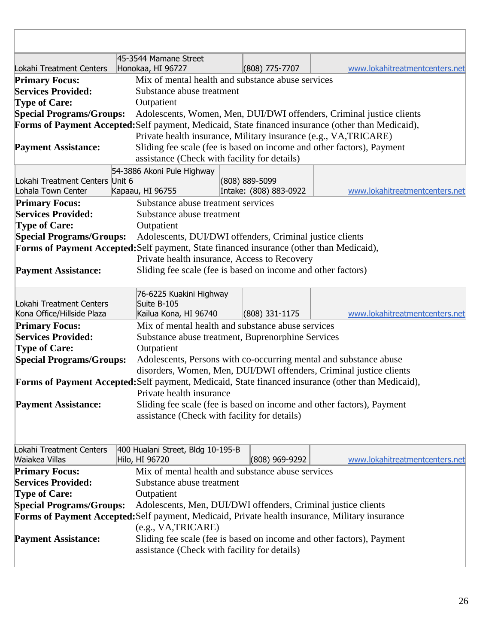|                                                       | 45-3544 Mamane Street                                                                           |                                                                       |                                          |                                                                                                    |  |
|-------------------------------------------------------|-------------------------------------------------------------------------------------------------|-----------------------------------------------------------------------|------------------------------------------|----------------------------------------------------------------------------------------------------|--|
| Lokahi Treatment Centers                              | Honokaa, HI 96727                                                                               |                                                                       | $(808)$ 775-7707                         | www.lokahitreatmentcenters.net                                                                     |  |
| <b>Primary Focus:</b>                                 | Mix of mental health and substance abuse services                                               |                                                                       |                                          |                                                                                                    |  |
| <b>Services Provided:</b>                             | Substance abuse treatment                                                                       |                                                                       |                                          |                                                                                                    |  |
| <b>Type of Care:</b>                                  | Outpatient                                                                                      |                                                                       |                                          |                                                                                                    |  |
| <b>Special Programs/Groups:</b>                       |                                                                                                 |                                                                       |                                          | Adolescents, Women, Men, DUI/DWI offenders, Criminal justice clients                               |  |
|                                                       |                                                                                                 |                                                                       |                                          | Forms of Payment Accepted: Self payment, Medicaid, State financed insurance (other than Medicaid), |  |
|                                                       |                                                                                                 |                                                                       |                                          | Private health insurance, Military insurance (e.g., VA, TRICARE)                                   |  |
| <b>Payment Assistance:</b>                            |                                                                                                 |                                                                       |                                          | Sliding fee scale (fee is based on income and other factors), Payment                              |  |
|                                                       | assistance (Check with facility for details)                                                    |                                                                       |                                          |                                                                                                    |  |
|                                                       | 54-3886 Akoni Pule Highway                                                                      |                                                                       |                                          |                                                                                                    |  |
| Lokahi Treatment Centers Unit 6<br>Lohala Town Center |                                                                                                 |                                                                       | (808) 889-5099<br>Intake: (808) 883-0922 | www.lokahitreatmentcenters.net                                                                     |  |
|                                                       | Kapaau, HI 96755                                                                                |                                                                       |                                          |                                                                                                    |  |
| <b>Primary Focus:</b><br><b>Services Provided:</b>    | Substance abuse treatment services<br>Substance abuse treatment                                 |                                                                       |                                          |                                                                                                    |  |
| <b>Type of Care:</b>                                  |                                                                                                 |                                                                       |                                          |                                                                                                    |  |
| <b>Special Programs/Groups:</b>                       | Outpatient<br>Adolescents, DUI/DWI offenders, Criminal justice clients                          |                                                                       |                                          |                                                                                                    |  |
|                                                       | Forms of Payment Accepted: Self payment, State financed insurance (other than Medicaid),        |                                                                       |                                          |                                                                                                    |  |
|                                                       | Private health insurance, Access to Recovery                                                    |                                                                       |                                          |                                                                                                    |  |
| <b>Payment Assistance:</b>                            | Sliding fee scale (fee is based on income and other factors)                                    |                                                                       |                                          |                                                                                                    |  |
|                                                       |                                                                                                 |                                                                       |                                          |                                                                                                    |  |
|                                                       | 76-6225 Kuakini Highway                                                                         |                                                                       |                                          |                                                                                                    |  |
| Lokahi Treatment Centers                              | Suite B-105                                                                                     |                                                                       |                                          |                                                                                                    |  |
| Kona Office/Hillside Plaza                            | Kailua Kona, HI 96740                                                                           |                                                                       | $(808)$ 331-1175                         | www.lokahitreatmentcenters.net                                                                     |  |
| <b>Primary Focus:</b>                                 | Mix of mental health and substance abuse services                                               |                                                                       |                                          |                                                                                                    |  |
| <b>Services Provided:</b>                             | Substance abuse treatment, Buprenorphine Services                                               |                                                                       |                                          |                                                                                                    |  |
| <b>Type of Care:</b>                                  | Outpatient                                                                                      |                                                                       |                                          |                                                                                                    |  |
| <b>Special Programs/Groups:</b>                       |                                                                                                 | Adolescents, Persons with co-occurring mental and substance abuse     |                                          |                                                                                                    |  |
|                                                       |                                                                                                 |                                                                       |                                          | disorders, Women, Men, DUI/DWI offenders, Criminal justice clients                                 |  |
|                                                       |                                                                                                 |                                                                       |                                          | Forms of Payment Accepted: Self payment, Medicaid, State financed insurance (other than Medicaid), |  |
|                                                       | Private health insurance                                                                        |                                                                       |                                          |                                                                                                    |  |
| <b>Payment Assistance:</b>                            |                                                                                                 |                                                                       |                                          | Sliding fee scale (fee is based on income and other factors), Payment                              |  |
|                                                       | assistance (Check with facility for details)                                                    |                                                                       |                                          |                                                                                                    |  |
|                                                       |                                                                                                 |                                                                       |                                          |                                                                                                    |  |
|                                                       |                                                                                                 |                                                                       |                                          |                                                                                                    |  |
| Lokahi Treatment Centers<br>Waiakea Villas            | 400 Hualani Street, Bldg 10-195-B<br>Hilo, HI 96720                                             |                                                                       | (808) 969-9292                           | www.lokahitreatmentcenters.net                                                                     |  |
| <b>Primary Focus:</b>                                 | Mix of mental health and substance abuse services                                               |                                                                       |                                          |                                                                                                    |  |
| <b>Services Provided:</b>                             | Substance abuse treatment                                                                       |                                                                       |                                          |                                                                                                    |  |
| <b>Type of Care:</b>                                  | Outpatient                                                                                      |                                                                       |                                          |                                                                                                    |  |
| <b>Special Programs/Groups:</b>                       |                                                                                                 | Adolescents, Men, DUI/DWI offenders, Criminal justice clients         |                                          |                                                                                                    |  |
|                                                       | Forms of Payment Accepted: Self payment, Medicaid, Private health insurance, Military insurance |                                                                       |                                          |                                                                                                    |  |
|                                                       | (e.g., VA, TRICARE)                                                                             |                                                                       |                                          |                                                                                                    |  |
| <b>Payment Assistance:</b>                            |                                                                                                 | Sliding fee scale (fee is based on income and other factors), Payment |                                          |                                                                                                    |  |
|                                                       | assistance (Check with facility for details)                                                    |                                                                       |                                          |                                                                                                    |  |
|                                                       |                                                                                                 |                                                                       |                                          |                                                                                                    |  |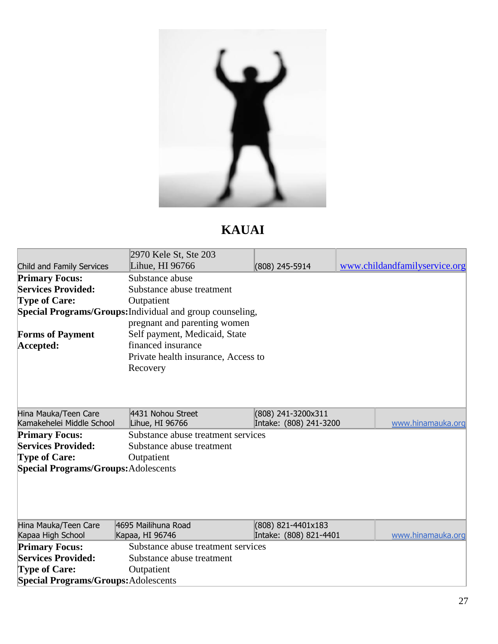

# **KAUAI**

|                                             | 2970 Kele St, Ste 203                                     |                           |                               |  |  |  |
|---------------------------------------------|-----------------------------------------------------------|---------------------------|-------------------------------|--|--|--|
| Child and Family Services                   | Lihue, HI 96766                                           | (808) 245-5914            | www.childandfamilyservice.org |  |  |  |
| <b>Primary Focus:</b>                       | Substance abuse                                           |                           |                               |  |  |  |
| <b>Services Provided:</b>                   | Substance abuse treatment                                 |                           |                               |  |  |  |
| <b>Type of Care:</b>                        | Outpatient                                                |                           |                               |  |  |  |
|                                             | Special Programs/Groups: Individual and group counseling, |                           |                               |  |  |  |
|                                             | pregnant and parenting women                              |                           |                               |  |  |  |
| <b>Forms of Payment</b>                     | Self payment, Medicaid, State                             |                           |                               |  |  |  |
| Accepted:                                   | financed insurance                                        |                           |                               |  |  |  |
|                                             | Private health insurance, Access to                       |                           |                               |  |  |  |
|                                             | Recovery                                                  |                           |                               |  |  |  |
|                                             |                                                           |                           |                               |  |  |  |
|                                             |                                                           |                           |                               |  |  |  |
|                                             |                                                           |                           |                               |  |  |  |
| Hina Mauka/Teen Care                        | 4431 Nohou Street                                         | (808) 241-3200x311        |                               |  |  |  |
| Kamakehelei Middle School                   | Lihue, HI 96766                                           | Intake: (808) 241-3200    | www.hinamauka.org             |  |  |  |
| <b>Primary Focus:</b>                       | Substance abuse treatment services                        |                           |                               |  |  |  |
| <b>Services Provided:</b>                   |                                                           | Substance abuse treatment |                               |  |  |  |
| <b>Type of Care:</b>                        | Outpatient                                                |                           |                               |  |  |  |
| <b>Special Programs/Groups:</b> Adolescents |                                                           |                           |                               |  |  |  |
|                                             |                                                           |                           |                               |  |  |  |
|                                             |                                                           |                           |                               |  |  |  |
|                                             |                                                           |                           |                               |  |  |  |
|                                             |                                                           |                           |                               |  |  |  |
| Hina Mauka/Teen Care                        | 4695 Mailihuna Road                                       | (808) 821-4401x183        |                               |  |  |  |
| Kapaa High School                           | Kapaa, HI 96746                                           | Intake: (808) 821-4401    | www.hinamauka.org             |  |  |  |
| <b>Primary Focus:</b>                       | Substance abuse treatment services                        |                           |                               |  |  |  |
| <b>Services Provided:</b>                   | Substance abuse treatment                                 |                           |                               |  |  |  |
| <b>Type of Care:</b>                        | Outpatient                                                |                           |                               |  |  |  |
| <b>Special Programs/Groups:</b> Adolescents |                                                           |                           |                               |  |  |  |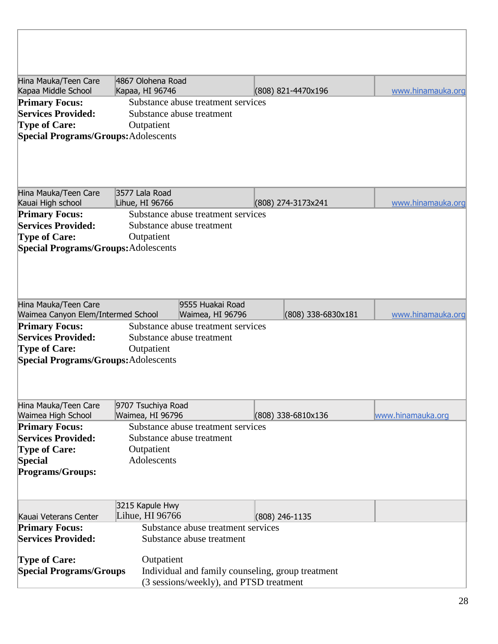| Hina Mauka/Teen Care<br>Kapaa Middle School                                                                               | 4867 Olohena Road<br>Kapaa, HI 96746                                                         | (808) 821-4470x196                                | www.hinamauka.org |
|---------------------------------------------------------------------------------------------------------------------------|----------------------------------------------------------------------------------------------|---------------------------------------------------|-------------------|
| <b>Primary Focus:</b><br><b>Services Provided:</b><br><b>Type of Care:</b><br><b>Special Programs/Groups: Adolescents</b> | Substance abuse treatment services<br>Substance abuse treatment<br>Outpatient                |                                                   |                   |
| Hina Mauka/Teen Care<br>Kauai High school                                                                                 | 3577 Lala Road<br>Lihue, HI 96766                                                            | (808) 274-3173x241                                | www.hinamauka.org |
| <b>Primary Focus:</b><br><b>Services Provided:</b><br><b>Type of Care:</b><br><b>Special Programs/Groups: Adolescents</b> | Substance abuse treatment services<br>Substance abuse treatment<br>Outpatient                |                                                   |                   |
| Hina Mauka/Teen Care<br>Waimea Canyon Elem/Intermed School                                                                | 9555 Huakai Road<br>Waimea, HI 96796                                                         | (808) 338-6830x181                                | www.hinamauka.org |
| <b>Primary Focus:</b><br><b>Services Provided:</b><br><b>Type of Care:</b><br><b>Special Programs/Groups: Adolescents</b> | Substance abuse treatment services<br>Substance abuse treatment<br>Outpatient                |                                                   |                   |
| Hina Mauka/Teen Care<br>Waimea High School                                                                                | 9707 Tsuchiya Road<br>Waimea, HI 96796                                                       | (808) 338-6810x136                                | www.hinamauka.org |
| <b>Primary Focus:</b><br><b>Services Provided:</b><br><b>Type of Care:</b><br><b>Special</b><br><b>Programs/Groups:</b>   | Substance abuse treatment services<br>Substance abuse treatment<br>Outpatient<br>Adolescents |                                                   |                   |
| Kauai Veterans Center                                                                                                     | 3215 Kapule Hwy<br>Lihue, HI 96766                                                           | (808) 246-1135                                    |                   |
| <b>Primary Focus:</b><br><b>Services Provided:</b>                                                                        | Substance abuse treatment services<br>Substance abuse treatment                              |                                                   |                   |
| <b>Type of Care:</b><br><b>Special Programs/Groups</b>                                                                    | Outpatient<br>(3 sessions/weekly), and PTSD treatment                                        | Individual and family counseling, group treatment |                   |